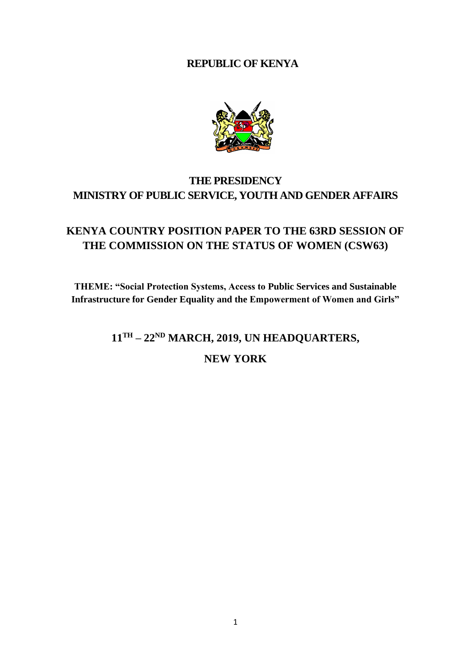# **REPUBLIC OF KENYA**



# **THE PRESIDENCY MINISTRY OF PUBLIC SERVICE, YOUTH AND GENDER AFFAIRS**

# **KENYA COUNTRY POSITION PAPER TO THE 63RD SESSION OF THE COMMISSION ON THE STATUS OF WOMEN (CSW63)**

**THEME: "Social Protection Systems, Access to Public Services and Sustainable Infrastructure for Gender Equality and the Empowerment of Women and Girls"**

> **11TH – 22ND MARCH, 2019, UN HEADQUARTERS, NEW YORK**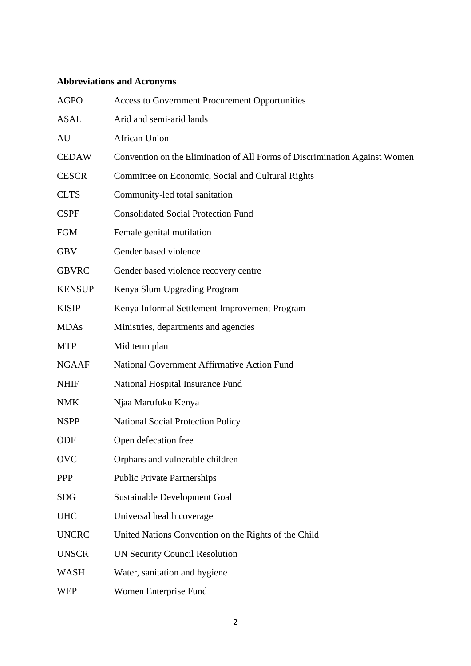# **Abbreviations and Acronyms**

| <b>AGPO</b>   | <b>Access to Government Procurement Opportunities</b>                      |
|---------------|----------------------------------------------------------------------------|
| ASAL          | Arid and semi-arid lands                                                   |
| AU            | <b>African Union</b>                                                       |
| <b>CEDAW</b>  | Convention on the Elimination of All Forms of Discrimination Against Women |
| <b>CESCR</b>  | Committee on Economic, Social and Cultural Rights                          |
| <b>CLTS</b>   | Community-led total sanitation                                             |
| <b>CSPF</b>   | <b>Consolidated Social Protection Fund</b>                                 |
| <b>FGM</b>    | Female genital mutilation                                                  |
| <b>GBV</b>    | Gender based violence                                                      |
| <b>GBVRC</b>  | Gender based violence recovery centre                                      |
| <b>KENSUP</b> | Kenya Slum Upgrading Program                                               |
| <b>KISIP</b>  | Kenya Informal Settlement Improvement Program                              |
| <b>MDAs</b>   | Ministries, departments and agencies                                       |
| <b>MTP</b>    | Mid term plan                                                              |
| <b>NGAAF</b>  | National Government Affirmative Action Fund                                |
| <b>NHIF</b>   | National Hospital Insurance Fund                                           |
| <b>NMK</b>    | Njaa Marufuku Kenya                                                        |
| <b>NSPP</b>   | National Social Protection Policy                                          |
| ODF           | Open defecation free                                                       |
| OVC           | Orphans and vulnerable children                                            |
| <b>PPP</b>    | <b>Public Private Partnerships</b>                                         |
| <b>SDG</b>    | <b>Sustainable Development Goal</b>                                        |
| <b>UHC</b>    | Universal health coverage                                                  |
| <b>UNCRC</b>  | United Nations Convention on the Rights of the Child                       |
| <b>UNSCR</b>  | <b>UN Security Council Resolution</b>                                      |
| <b>WASH</b>   | Water, sanitation and hygiene                                              |
| <b>WEP</b>    | Women Enterprise Fund                                                      |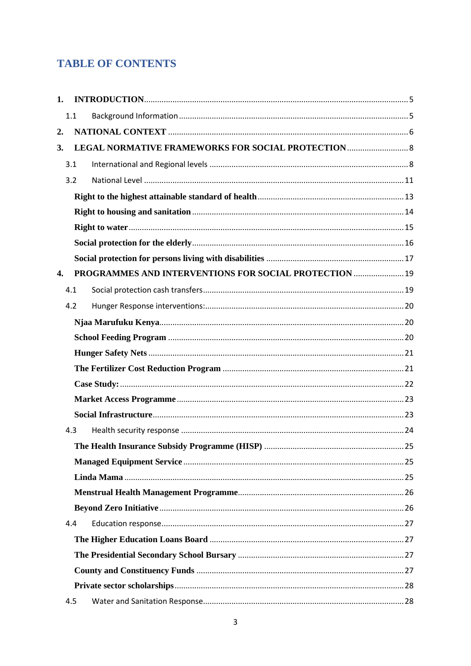# **TABLE OF CONTENTS**

| 1. |     |                                                        |  |
|----|-----|--------------------------------------------------------|--|
|    | 1.1 |                                                        |  |
| 2. |     |                                                        |  |
| 3. |     |                                                        |  |
|    | 3.1 |                                                        |  |
|    | 3.2 |                                                        |  |
|    |     |                                                        |  |
|    |     |                                                        |  |
|    |     |                                                        |  |
|    |     |                                                        |  |
|    |     |                                                        |  |
| 4. |     | PROGRAMMES AND INTERVENTIONS FOR SOCIAL PROTECTION  19 |  |
|    | 4.1 |                                                        |  |
|    | 4.2 |                                                        |  |
|    |     |                                                        |  |
|    |     |                                                        |  |
|    |     |                                                        |  |
|    |     |                                                        |  |
|    |     |                                                        |  |
|    |     |                                                        |  |
|    |     |                                                        |  |
|    | 4.3 |                                                        |  |
|    |     |                                                        |  |
|    |     |                                                        |  |
|    |     |                                                        |  |
|    |     |                                                        |  |
|    |     |                                                        |  |
|    | 4.4 |                                                        |  |
|    |     |                                                        |  |
|    |     |                                                        |  |
|    |     |                                                        |  |
|    |     |                                                        |  |
|    | 4.5 |                                                        |  |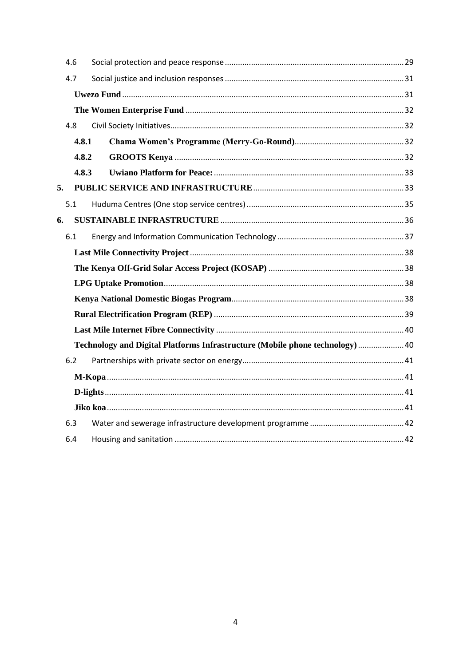|    | 4.6   |                                                                               |  |  |  |
|----|-------|-------------------------------------------------------------------------------|--|--|--|
|    | 4.7   |                                                                               |  |  |  |
|    |       |                                                                               |  |  |  |
|    |       |                                                                               |  |  |  |
|    | 4.8   |                                                                               |  |  |  |
|    | 4.8.1 |                                                                               |  |  |  |
|    | 4.8.2 |                                                                               |  |  |  |
|    | 4.8.3 |                                                                               |  |  |  |
| 5. |       |                                                                               |  |  |  |
|    | 5.1   |                                                                               |  |  |  |
| 6. |       |                                                                               |  |  |  |
|    | 6.1   |                                                                               |  |  |  |
|    |       |                                                                               |  |  |  |
|    |       |                                                                               |  |  |  |
|    |       |                                                                               |  |  |  |
|    |       |                                                                               |  |  |  |
|    |       |                                                                               |  |  |  |
|    |       |                                                                               |  |  |  |
|    |       | Technology and Digital Platforms Infrastructure (Mobile phone technology)  40 |  |  |  |
|    | 6.2   |                                                                               |  |  |  |
|    |       |                                                                               |  |  |  |
|    |       |                                                                               |  |  |  |
|    |       |                                                                               |  |  |  |
|    | 6.3   |                                                                               |  |  |  |
|    | 6.4   |                                                                               |  |  |  |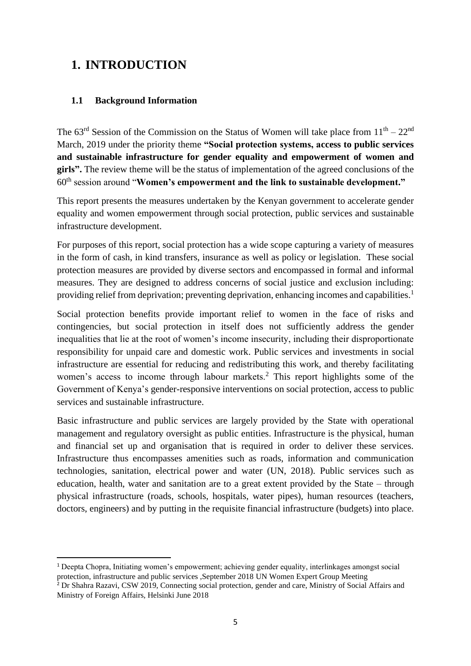# <span id="page-4-0"></span>**1. INTRODUCTION**

## <span id="page-4-1"></span>**1.1 Background Information**

The 63<sup>rd</sup> Session of the Commission on the Status of Women will take place from  $11<sup>th</sup> - 22<sup>nd</sup>$ March, 2019 under the priority theme **"Social protection systems, access to public services and sustainable infrastructure for gender equality and empowerment of women and girls".** The review theme will be the status of implementation of the agreed conclusions of the 60th session around "**Women's empowerment and the link to sustainable development."** 

This report presents the measures undertaken by the Kenyan government to accelerate gender equality and women empowerment through social protection, public services and sustainable infrastructure development.

For purposes of this report, social protection has a wide scope capturing a variety of measures in the form of cash, in kind transfers, insurance as well as policy or legislation. These social protection measures are provided by diverse sectors and encompassed in formal and informal measures. They are designed to address concerns of social justice and exclusion including: providing relief from deprivation; preventing deprivation, enhancing incomes and capabilities.<sup>1</sup>

Social protection benefits provide important relief to women in the face of risks and contingencies, but social protection in itself does not sufficiently address the gender inequalities that lie at the root of women's income insecurity, including their disproportionate responsibility for unpaid care and domestic work. Public services and investments in social infrastructure are essential for reducing and redistributing this work, and thereby facilitating women's access to income through labour markets.<sup>2</sup> This report highlights some of the Government of Kenya's gender-responsive interventions on social protection, access to public services and sustainable infrastructure.

Basic infrastructure and public services are largely provided by the State with operational management and regulatory oversight as public entities. Infrastructure is the physical, human and financial set up and organisation that is required in order to deliver these services. Infrastructure thus encompasses amenities such as roads, information and communication technologies, sanitation, electrical power and water (UN, 2018). Public services such as education, health, water and sanitation are to a great extent provided by the State – through physical infrastructure (roads, schools, hospitals, water pipes), human resources (teachers, doctors, engineers) and by putting in the requisite financial infrastructure (budgets) into place.

<sup>1</sup> Deepta Chopra, Initiating women's empowerment; achieving gender equality, interlinkages amongst social protection, infrastructure and public services ,September 2018 UN Women Expert Group Meeting

<sup>&</sup>lt;sup>2</sup> Dr Shahra Razavi, CSW 2019, Connecting social protection, gender and care, Ministry of Social Affairs and Ministry of Foreign Affairs, Helsinki June 2018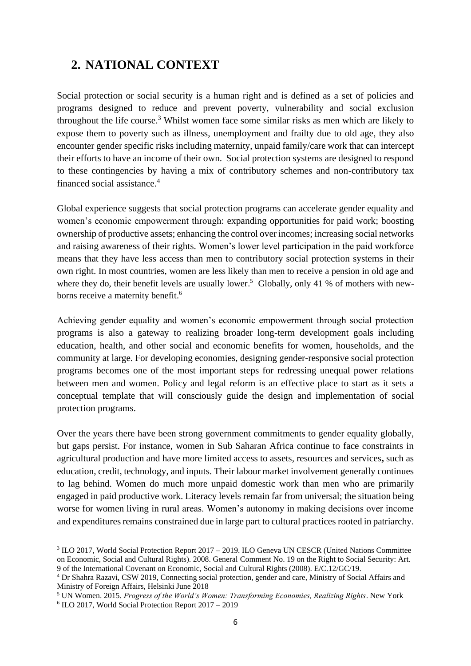# <span id="page-5-0"></span>**2. NATIONAL CONTEXT**

Social protection or social security is a human right and is defined as a set of policies and programs designed to reduce and prevent poverty, vulnerability and social exclusion throughout the life course. <sup>3</sup> Whilst women face some similar risks as men which are likely to expose them to poverty such as illness, unemployment and frailty due to old age, they also encounter gender specific risks including maternity, unpaid family/care work that can intercept their efforts to have an income of their own. Social protection systems are designed to respond to these contingencies by having a mix of contributory schemes and non-contributory tax financed social assistance.<sup>4</sup>

Global experience suggests that social protection programs can accelerate gender equality and women's economic empowerment through: expanding opportunities for paid work; boosting ownership of productive assets; enhancing the control over incomes; increasing social networks and raising awareness of their rights. Women's lower level participation in the paid workforce means that they have less access than men to contributory social protection systems in their own right. In most countries, women are less likely than men to receive a pension in old age and where they do, their benefit levels are usually lower.<sup>5</sup> Globally, only 41 % of mothers with newborns receive a maternity benefit.<sup>6</sup>

Achieving gender equality and women's economic empowerment through social protection programs is also a gateway to realizing broader long-term development goals including education, health, and other social and economic benefits for women, households, and the community at large. For developing economies, designing gender-responsive social protection programs becomes one of the most important steps for redressing unequal power relations between men and women. Policy and legal reform is an effective place to start as it sets a conceptual template that will consciously guide the design and implementation of social protection programs.

Over the years there have been strong government commitments to gender equality globally, but gaps persist. For instance, women in Sub Saharan Africa continue to face constraints in agricultural production and have more limited access to assets, resources and services**,** such as education, credit, technology, and inputs. Their labour market involvement generally continues to lag behind. Women do much more unpaid domestic work than men who are primarily engaged in paid productive work. Literacy levels remain far from universal; the situation being worse for women living in rural areas. Women's autonomy in making decisions over income and expenditures remains constrained due in large part to cultural practices rooted in patriarchy.

<sup>&</sup>lt;sup>3</sup> ILO 2017, World Social Protection Report 2017 – 2019. ILO Geneva UN CESCR (United Nations Committee on Economic, Social and Cultural Rights). 2008. General Comment No. 19 on the Right to Social Security: Art. 9 of the International Covenant on Economic, Social and Cultural Rights (2008). E/C.12/GC/19.

<sup>4</sup> Dr Shahra Razavi, CSW 2019, Connecting social protection, gender and care, Ministry of Social Affairs and Ministry of Foreign Affairs, Helsinki June 2018

<sup>5</sup> UN Women. 2015. *Progress of the World's Women: Transforming Economies, Realizing Rights*. New York 6 ILO 2017, World Social Protection Report 2017 – 2019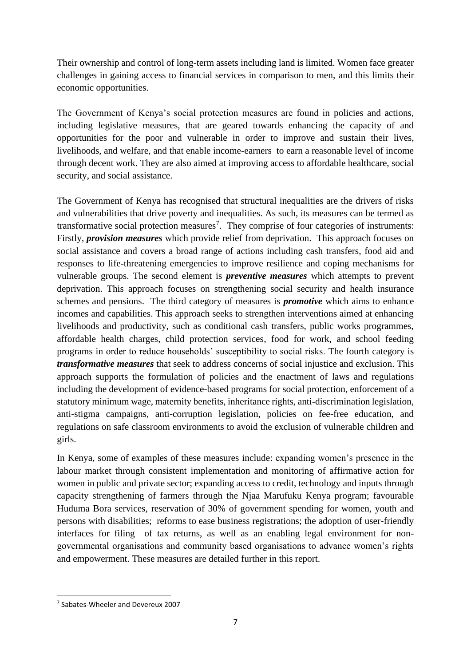Their ownership and control of long-term assets including land is limited. Women face greater challenges in gaining access to financial services in comparison to men, and this limits their economic opportunities.

The Government of Kenya's social protection measures are found in policies and actions, including legislative measures, that are geared towards enhancing the capacity of and opportunities for the poor and vulnerable in order to improve and sustain their lives, livelihoods, and welfare, and that enable income-earners to earn a reasonable level of income through decent work. They are also aimed at improving access to affordable healthcare, social security, and social assistance.

The Government of Kenya has recognised that structural inequalities are the drivers of risks and vulnerabilities that drive poverty and inequalities. As such, its measures can be termed as transformative social protection measures<sup>7</sup>. They comprise of four categories of instruments: Firstly, *provision measures* which provide relief from deprivation. This approach focuses on social assistance and covers a broad range of actions including cash transfers, food aid and responses to life-threatening emergencies to improve resilience and coping mechanisms for vulnerable groups. The second element is *preventive measures* which attempts to prevent deprivation. This approach focuses on strengthening social security and health insurance schemes and pensions. The third category of measures is *promotive* which aims to enhance incomes and capabilities. This approach seeks to strengthen interventions aimed at enhancing livelihoods and productivity, such as conditional cash transfers, public works programmes, affordable health charges, child protection services, food for work, and school feeding programs in order to reduce households' susceptibility to social risks. The fourth category is *transformative measures* that seek to address concerns of social injustice and exclusion. This approach supports the formulation of policies and the enactment of laws and regulations including the development of evidence-based programs for social protection, enforcement of a statutory minimum wage, maternity benefits, inheritance rights, anti-discrimination legislation, anti-stigma campaigns, anti-corruption legislation, policies on fee-free education, and regulations on safe classroom environments to avoid the exclusion of vulnerable children and girls.

In Kenya, some of examples of these measures include: expanding women's presence in the labour market through consistent implementation and monitoring of affirmative action for women in public and private sector; expanding access to credit, technology and inputs through capacity strengthening of farmers through the Njaa Marufuku Kenya program; favourable Huduma Bora services, reservation of 30% of government spending for women, youth and persons with disabilities; reforms to ease business registrations; the adoption of user-friendly interfaces for filing of tax returns, as well as an enabling legal environment for nongovernmental organisations and community based organisations to advance women's rights and empowerment. These measures are detailed further in this report.

<sup>7</sup> Sabates-Wheeler and Devereux 2007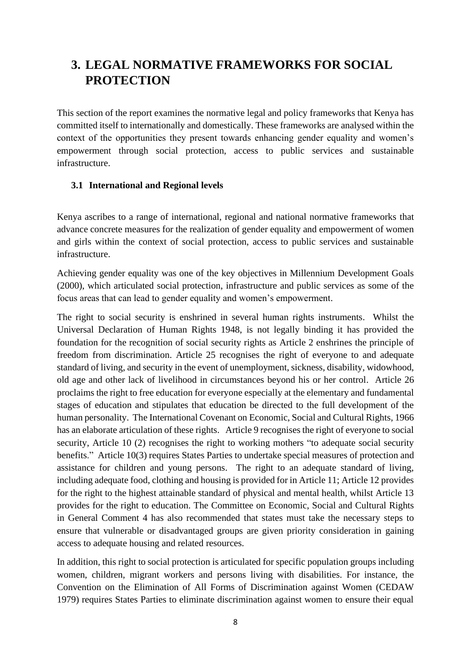# <span id="page-7-0"></span>**3. LEGAL NORMATIVE FRAMEWORKS FOR SOCIAL PROTECTION**

This section of the report examines the normative legal and policy frameworks that Kenya has committed itself to internationally and domestically. These frameworks are analysed within the context of the opportunities they present towards enhancing gender equality and women's empowerment through social protection, access to public services and sustainable infrastructure.

#### <span id="page-7-1"></span>**3.1 International and Regional levels**

Kenya ascribes to a range of international, regional and national normative frameworks that advance concrete measures for the realization of gender equality and empowerment of women and girls within the context of social protection, access to public services and sustainable infrastructure.

Achieving gender equality was one of the key objectives in Millennium Development Goals (2000), which articulated social protection, infrastructure and public services as some of the focus areas that can lead to gender equality and women's empowerment.

The right to social security is enshrined in several human rights instruments. Whilst the Universal Declaration of Human Rights 1948, is not legally binding it has provided the foundation for the recognition of social security rights as Article 2 enshrines the principle of freedom from discrimination. Article 25 recognises the right of everyone to and adequate standard of living, and security in the event of unemployment, sickness, disability, widowhood, old age and other lack of livelihood in circumstances beyond his or her control. Article 26 proclaims the right to free education for everyone especially at the elementary and fundamental stages of education and stipulates that education be directed to the full development of the human personality. The International Covenant on Economic, Social and Cultural Rights, 1966 has an elaborate articulation of these rights. Article 9 recognises the right of everyone to social security, Article 10 (2) recognises the right to working mothers "to adequate social security benefits." Article 10(3) requires States Parties to undertake special measures of protection and assistance for children and young persons. The right to an adequate standard of living, including adequate food, clothing and housing is provided for in Article 11; Article 12 provides for the right to the highest attainable standard of physical and mental health, whilst Article 13 provides for the right to education. The Committee on Economic, Social and Cultural Rights in General Comment 4 has also recommended that states must take the necessary steps to ensure that vulnerable or disadvantaged groups are given priority consideration in gaining access to adequate housing and related resources.

In addition, this right to social protection is articulated for specific population groups including women, children, migrant workers and persons living with disabilities. For instance, the Convention on the Elimination of All Forms of Discrimination against Women (CEDAW 1979) requires States Parties to eliminate discrimination against women to ensure their equal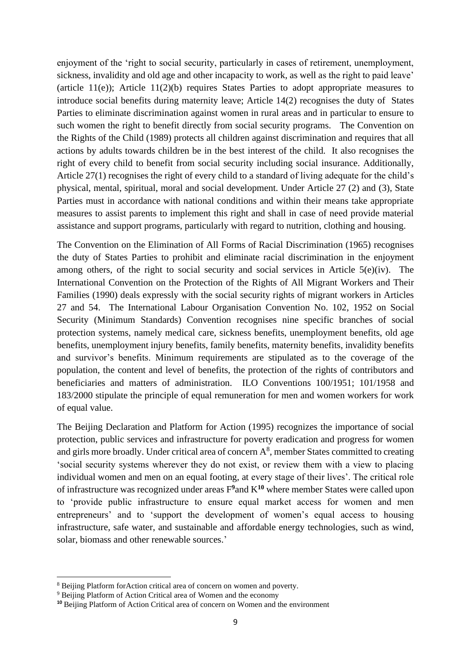enjoyment of the 'right to social security, particularly in cases of retirement, unemployment, sickness, invalidity and old age and other incapacity to work, as well as the right to paid leave' (article 11(e)); Article 11(2)(b) requires States Parties to adopt appropriate measures to introduce social benefits during maternity leave; Article 14(2) recognises the duty of States Parties to eliminate discrimination against women in rural areas and in particular to ensure to such women the right to benefit directly from social security programs. The Convention on the Rights of the Child (1989) protects all children against discrimination and requires that all actions by adults towards children be in the best interest of the child. It also recognises the right of every child to benefit from social security including social insurance. Additionally, Article 27(1) recognises the right of every child to a standard of living adequate for the child's physical, mental, spiritual, moral and social development. Under Article 27 (2) and (3), State Parties must in accordance with national conditions and within their means take appropriate measures to assist parents to implement this right and shall in case of need provide material assistance and support programs, particularly with regard to nutrition, clothing and housing.

The Convention on the Elimination of All Forms of Racial Discrimination (1965) recognises the duty of States Parties to prohibit and eliminate racial discrimination in the enjoyment among others, of the right to social security and social services in Article 5(e)(iv). The International Convention on the Protection of the Rights of All Migrant Workers and Their Families (1990) deals expressly with the social security rights of migrant workers in Articles 27 and 54. The International Labour Organisation Convention No. 102, 1952 on Social Security (Minimum Standards) Convention recognises nine specific branches of social protection systems, namely medical care, sickness benefits, unemployment benefits, old age benefits, unemployment injury benefits, family benefits, maternity benefits, invalidity benefits and survivor's benefits. Minimum requirements are stipulated as to the coverage of the population, the content and level of benefits, the protection of the rights of contributors and beneficiaries and matters of administration. ILO Conventions 100/1951; 101/1958 and 183/2000 stipulate the principle of equal remuneration for men and women workers for work of equal value.

The Beijing Declaration and Platform for Action (1995) recognizes the importance of social protection, public services and infrastructure for poverty eradication and progress for women and girls more broadly. Under critical area of concern  $A^8$ , member States committed to creating 'social security systems wherever they do not exist, or review them with a view to placing individual women and men on an equal footing, at every stage of their lives'. The critical role of infrastructure was recognized under areas F **<sup>9</sup>**and K**<sup>10</sup>** where member States were called upon to 'provide public infrastructure to ensure equal market access for women and men entrepreneurs' and to 'support the development of women's equal access to housing infrastructure, safe water, and sustainable and affordable energy technologies, such as wind, solar, biomass and other renewable sources.'

<sup>&</sup>lt;sup>8</sup> Beijing Platform for Action critical area of concern on women and poverty.

<sup>&</sup>lt;sup>9</sup> Beijing Platform of Action Critical area of Women and the economy

**<sup>10</sup>** Beijing Platform of Action Critical area of concern on Women and the environment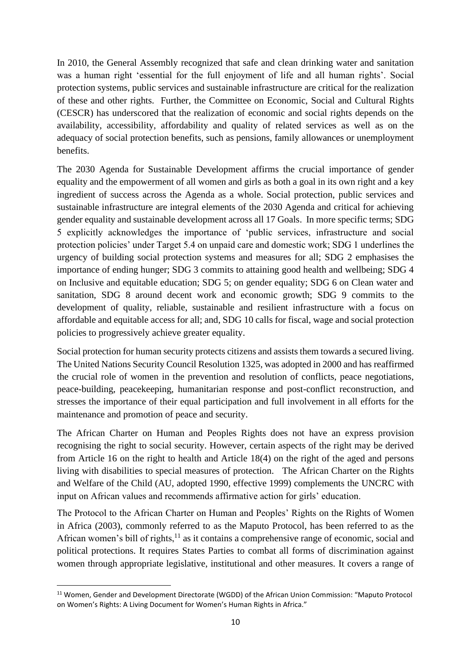In 2010, the General Assembly recognized that safe and clean drinking water and sanitation was a human right 'essential for the full enjoyment of life and all human rights'. Social protection systems, public services and sustainable infrastructure are critical for the realization of these and other rights. Further, the Committee on Economic, Social and Cultural Rights (CESCR) has underscored that the realization of economic and social rights depends on the availability, accessibility, affordability and quality of related services as well as on the adequacy of social protection benefits, such as pensions, family allowances or unemployment benefits.

The 2030 Agenda for Sustainable Development affirms the crucial importance of gender equality and the empowerment of all women and girls as both a goal in its own right and a key ingredient of success across the Agenda as a whole. Social protection, public services and sustainable infrastructure are integral elements of the 2030 Agenda and critical for achieving gender equality and sustainable development across all 17 Goals. In more specific terms; SDG 5 explicitly acknowledges the importance of 'public services, infrastructure and social protection policies' under Target 5.4 on unpaid care and domestic work; SDG 1 underlines the urgency of building social protection systems and measures for all; SDG 2 emphasises the importance of ending hunger; SDG 3 commits to attaining good health and wellbeing; SDG 4 on Inclusive and equitable education; SDG 5; on gender equality; SDG 6 on Clean water and sanitation, SDG 8 around decent work and economic growth; SDG 9 commits to the development of quality, reliable, sustainable and resilient infrastructure with a focus on affordable and equitable access for all; and, SDG 10 calls for fiscal, wage and social protection policies to progressively achieve greater equality.

Social protection for human security protects citizens and assists them towards a secured living. The United Nations Security Council Resolution 1325, was adopted in 2000 and has reaffirmed the crucial role of women in the prevention and resolution of conflicts, peace negotiations, peace-building, peacekeeping, humanitarian response and post-conflict reconstruction, and stresses the importance of their equal participation and full involvement in all efforts for the maintenance and promotion of peace and security.

The African Charter on Human and Peoples Rights does not have an express provision recognising the right to social security. However, certain aspects of the right may be derived from Article 16 on the right to health and Article 18(4) on the right of the aged and persons living with disabilities to special measures of protection. The African Charter on the Rights and Welfare of the Child (AU, adopted 1990, effective 1999) complements the UNCRC with input on African values and recommends affirmative action for girls' education.

The Protocol to the African Charter on Human and Peoples' Rights on the Rights of Women in Africa (2003), commonly referred to as the Maputo Protocol, has been referred to as the African women's bill of rights, $11$  as it contains a comprehensive range of economic, social and political protections. It requires States Parties to combat all forms of discrimination against women through appropriate legislative, institutional and other measures. It covers a range of

<sup>11</sup> Women, Gender and Development Directorate (WGDD) of the African Union Commission: "Maputo Protocol on Women's Rights: A Living Document for Women's Human Rights in Africa."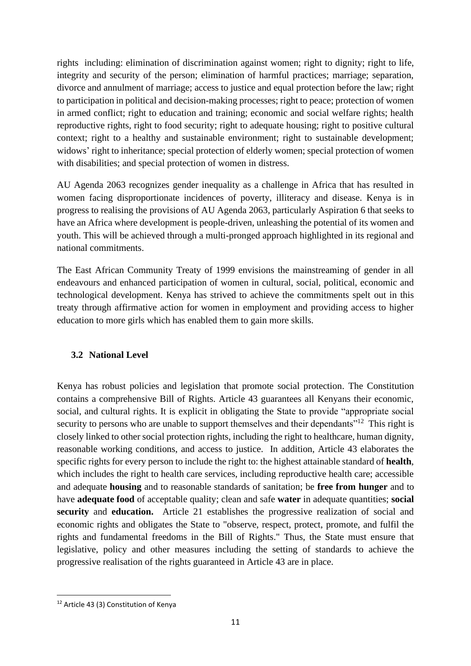rights including: elimination of discrimination against women; right to dignity; right to life, integrity and security of the person; elimination of harmful practices; marriage; separation, divorce and annulment of marriage; access to justice and equal protection before the law; right to participation in political and decision-making processes; right to peace; protection of women in armed conflict; right to education and training; economic and social welfare rights; health reproductive rights, right to food security; right to adequate housing; right to positive cultural context; right to a healthy and sustainable environment; right to sustainable development; widows' right to inheritance; special protection of elderly women; special protection of women with disabilities; and special protection of women in distress.

AU Agenda 2063 recognizes gender inequality as a challenge in Africa that has resulted in women facing disproportionate incidences of poverty, illiteracy and disease. Kenya is in progress to realising the provisions of AU Agenda 2063, particularly Aspiration 6 that seeks to have an Africa where development is people-driven, unleashing the potential of its women and youth. This will be achieved through a multi-pronged approach highlighted in its regional and national commitments.

The East African Community Treaty of 1999 envisions the mainstreaming of gender in all endeavours and enhanced participation of women in cultural, social, political, economic and technological development. Kenya has strived to achieve the commitments spelt out in this treaty through affirmative action for women in employment and providing access to higher education to more girls which has enabled them to gain more skills.

# <span id="page-10-0"></span>**3.2 National Level**

Kenya has robust policies and legislation that promote social protection. The Constitution contains a comprehensive Bill of Rights. Article 43 guarantees all Kenyans their economic, social, and cultural rights. It is explicit in obligating the State to provide "appropriate social security to persons who are unable to support themselves and their dependants"<sup>12</sup> This right is closely linked to other social protection rights, including the right to healthcare, human dignity, reasonable working conditions, and access to justice. In addition, Article 43 elaborates the specific rights for every person to include the right to: the highest attainable standard of **health**, which includes the right to health care services, including reproductive health care; accessible and adequate **housing** and to reasonable standards of sanitation; be **free from hunger** and to have **adequate food** of acceptable quality; clean and safe **water** in adequate quantities; **social security** and **education.** Article 21 establishes the progressive realization of social and economic rights and obligates the State to "observe, respect, protect, promote, and fulfil the rights and fundamental freedoms in the Bill of Rights." Thus, the State must ensure that legislative, policy and other measures including the setting of standards to achieve the progressive realisation of the rights guaranteed in Article 43 are in place.

<sup>12</sup> Article 43 (3) Constitution of Kenya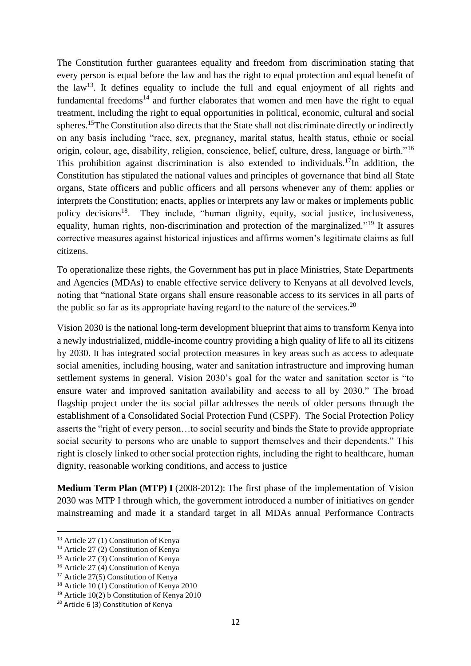The Constitution further guarantees equality and freedom from discrimination stating that every person is equal before the law and has the right to equal protection and equal benefit of the law<sup>13</sup>. It defines equality to include the full and equal enjoyment of all rights and fundamental freedoms<sup>14</sup> and further elaborates that women and men have the right to equal treatment, including the right to equal opportunities in political, economic, cultural and social spheres.<sup>15</sup>The Constitution also directs that the State shall not discriminate directly or indirectly on any basis including "race, sex, pregnancy, marital status, health status, ethnic or social origin, colour, age, disability, religion, conscience, belief, culture, dress, language or birth."<sup>16</sup> This prohibition against discrimination is also extended to individuals.<sup>17</sup>In addition, the Constitution has stipulated the national values and principles of governance that bind all State organs, State officers and public officers and all persons whenever any of them: applies or interprets the Constitution; enacts, applies or interprets any law or makes or implements public policy decisions<sup>18</sup>. They include, "human dignity, equity, social justice, inclusiveness, equality, human rights, non-discrimination and protection of the marginalized."<sup>19</sup> It assures corrective measures against historical injustices and affirms women's legitimate claims as full citizens.

To operationalize these rights, the Government has put in place Ministries, State Departments and Agencies (MDAs) to enable effective service delivery to Kenyans at all devolved levels, noting that "national State organs shall ensure reasonable access to its services in all parts of the public so far as its appropriate having regard to the nature of the services.<sup>20</sup>

Vision 2030 is the national long-term development blueprint that aims to transform Kenya into a newly industrialized, middle-income country providing a high quality of life to all its citizens by 2030. It has integrated social protection measures in key areas such as access to adequate social amenities, including housing, water and sanitation infrastructure and improving human settlement systems in general. Vision 2030's goal for the water and sanitation sector is "to ensure water and improved sanitation availability and access to all by 2030." The broad flagship project under the its social pillar addresses the needs of older persons through the establishment of a Consolidated Social Protection Fund (CSPF). The Social Protection Policy asserts the "right of every person…to social security and binds the State to provide appropriate social security to persons who are unable to support themselves and their dependents." This right is closely linked to other social protection rights, including the right to healthcare, human dignity, reasonable working conditions, and access to justice

**Medium Term Plan (MTP) I** (2008-2012): The first phase of the implementation of Vision 2030 was MTP I through which, the government introduced a number of initiatives on gender mainstreaming and made it a standard target in all MDAs annual Performance Contracts

<sup>&</sup>lt;sup>13</sup> Article 27 (1) Constitution of Kenya

<sup>&</sup>lt;sup>14</sup> Article 27 (2) Constitution of Kenya

<sup>&</sup>lt;sup>15</sup> Article 27 (3) Constitution of Kenya

<sup>&</sup>lt;sup>16</sup> Article 27 (4) Constitution of Kenya

<sup>&</sup>lt;sup>17</sup> Article 27(5) Constitution of Kenya

<sup>18</sup> Article 10 (1) Constitution of Kenya 2010

<sup>19</sup> Article 10(2) b Constitution of Kenya 2010

<sup>20</sup> Article 6 (3) Constitution of Kenya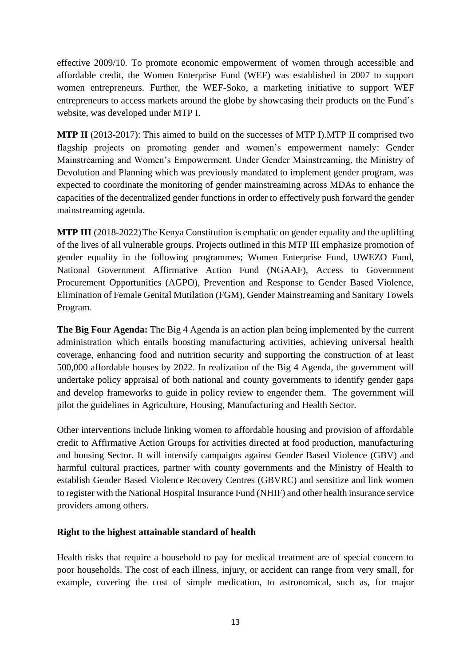effective 2009/10. To promote economic empowerment of women through accessible and affordable credit, the Women Enterprise Fund (WEF) was established in 2007 to support women entrepreneurs. Further, the WEF-Soko, a marketing initiative to support WEF entrepreneurs to access markets around the globe by showcasing their products on the Fund's website, was developed under MTP I.

**MTP II** (2013-2017): This aimed to build on the successes of MTP I).MTP II comprised two flagship projects on promoting gender and women's empowerment namely: Gender Mainstreaming and Women's Empowerment. Under Gender Mainstreaming, the Ministry of Devolution and Planning which was previously mandated to implement gender program, was expected to coordinate the monitoring of gender mainstreaming across MDAs to enhance the capacities of the decentralized gender functions in order to effectively push forward the gender mainstreaming agenda.

**MTP III** (2018-2022) The Kenya Constitution is emphatic on gender equality and the uplifting of the lives of all vulnerable groups. Projects outlined in this MTP III emphasize promotion of gender equality in the following programmes; Women Enterprise Fund, UWEZO Fund, National Government Affirmative Action Fund (NGAAF), Access to Government Procurement Opportunities (AGPO), Prevention and Response to Gender Based Violence, Elimination of Female Genital Mutilation (FGM), Gender Mainstreaming and Sanitary Towels Program.

**The Big Four Agenda:** The Big 4 Agenda is an action plan being implemented by the current administration which entails boosting manufacturing activities, achieving universal health coverage, enhancing food and nutrition security and supporting the construction of at least 500,000 affordable houses by 2022. In realization of the Big 4 Agenda, the government will undertake policy appraisal of both national and county governments to identify gender gaps and develop frameworks to guide in policy review to engender them. The government will pilot the guidelines in Agriculture, Housing, Manufacturing and Health Sector.

Other interventions include linking women to affordable housing and provision of affordable credit to Affirmative Action Groups for activities directed at food production, manufacturing and housing Sector. It will intensify campaigns against Gender Based Violence (GBV) and harmful cultural practices, partner with county governments and the Ministry of Health to establish Gender Based Violence Recovery Centres (GBVRC) and sensitize and link women to register with the National Hospital Insurance Fund (NHIF) and other health insurance service providers among others.

#### <span id="page-12-0"></span>**Right to the highest attainable standard of health**

Health risks that require a household to pay for medical treatment are of special concern to poor households. The cost of each illness, injury, or accident can range from very small, for example, covering the cost of simple medication, to astronomical, such as, for major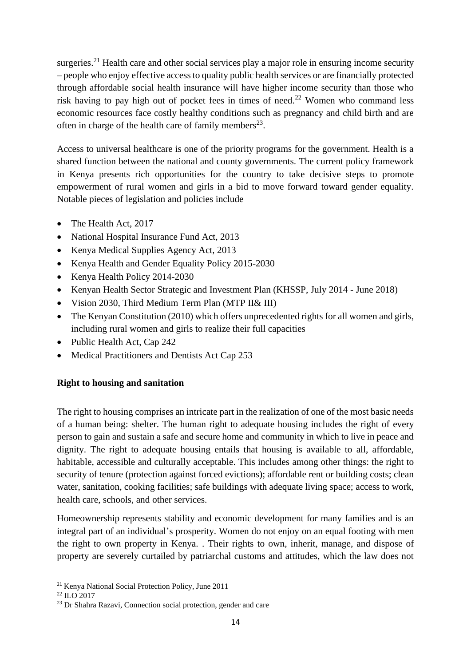surgeries.<sup>21</sup> Health care and other social services play a major role in ensuring income security – people who enjoy effective access to quality public health services or are financially protected through affordable social health insurance will have higher income security than those who risk having to pay high out of pocket fees in times of need.<sup>22</sup> Women who command less economic resources face costly healthy conditions such as pregnancy and child birth and are often in charge of the health care of family members<sup>23</sup>.

Access to universal healthcare is one of the priority programs for the government. Health is a shared function between the national and county governments. The current policy framework in Kenya presents rich opportunities for the country to take decisive steps to promote empowerment of rural women and girls in a bid to move forward toward gender equality. Notable pieces of legislation and policies include

- The Health Act, 2017
- National Hospital Insurance Fund Act, 2013
- Kenya Medical Supplies Agency Act, 2013
- Kenya Health and Gender Equality Policy 2015-2030
- Kenya Health Policy 2014-2030
- Kenyan Health Sector Strategic and Investment Plan (KHSSP, July 2014 June 2018)
- Vision 2030, Third Medium Term Plan (MTP II& III)
- The Kenyan Constitution (2010) which offers unprecedented rights for all women and girls, including rural women and girls to realize their full capacities
- Public Health Act, Cap 242
- Medical Practitioners and Dentists Act Cap 253

# <span id="page-13-0"></span>**Right to housing and sanitation**

The right to housing comprises an intricate part in the realization of one of the most basic needs of a human being: shelter. The human right to adequate housing includes the right of every person to gain and sustain a safe and secure home and community in which to live in peace and dignity. The right to adequate housing entails that housing is available to all, affordable, habitable, accessible and culturally acceptable. This includes among other things: the right to security of tenure (protection against forced evictions); affordable rent or building costs; clean water, sanitation, cooking facilities; safe buildings with adequate living space; access to work, health care, schools, and other services.

Homeownership represents stability and economic development for many families and is an integral part of an individual's prosperity. Women do not enjoy on an equal footing with men the right to own property in Kenya. . Their rights to own, inherit, manage, and dispose of property are severely curtailed by patriarchal customs and attitudes, which the law does not

<sup>21</sup> Kenya National Social Protection Policy, June 2011

 $^{22}$  ILO 2017

<sup>23</sup> Dr Shahra Razavi, Connection social protection, gender and care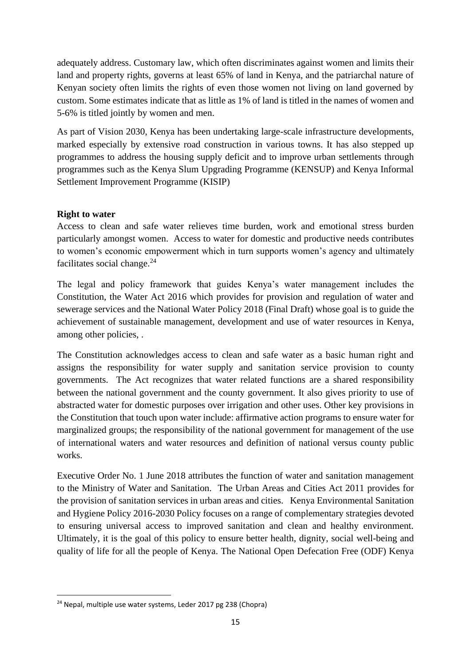adequately address. Customary law, which often discriminates against women and limits their land and property rights, governs at least 65% of land in Kenya, and the patriarchal nature of Kenyan society often limits the rights of even those women not living on land governed by custom. Some estimates indicate that as little as 1% of land is titled in the names of women and 5-6% is titled jointly by women and men.

As part of Vision 2030, Kenya has been undertaking large-scale infrastructure developments, marked especially by extensive road construction in various towns. It has also stepped up programmes to address the housing supply deficit and to improve urban settlements through programmes such as the Kenya Slum Upgrading Programme (KENSUP) and Kenya Informal Settlement Improvement Programme (KISIP)

#### <span id="page-14-0"></span>**Right to water**

Access to clean and safe water relieves time burden, work and emotional stress burden particularly amongst women. Access to water for domestic and productive needs contributes to women's economic empowerment which in turn supports women's agency and ultimately facilitates social change.<sup>24</sup>

The legal and policy framework that guides Kenya's water management includes the Constitution, the Water Act 2016 which provides for provision and regulation of water and sewerage services and the National Water Policy 2018 (Final Draft) whose goal is to guide the achievement of sustainable management, development and use of water resources in Kenya, among other policies, .

The Constitution acknowledges access to clean and safe water as a basic human right and assigns the responsibility for water supply and sanitation service provision to county governments. The Act recognizes that water related functions are a shared responsibility between the national government and the county government. It also gives priority to use of abstracted water for domestic purposes over irrigation and other uses. Other key provisions in the Constitution that touch upon water include: affirmative action programs to ensure water for marginalized groups; the responsibility of the national government for management of the use of international waters and water resources and definition of national versus county public works.

Executive Order No. 1 June 2018 attributes the function of water and sanitation management to the Ministry of Water and Sanitation. The Urban Areas and Cities Act 2011 provides for the provision of sanitation services in urban areas and cities. Kenya Environmental Sanitation and Hygiene Policy 2016-2030 Policy focuses on a range of complementary strategies devoted to ensuring universal access to improved sanitation and clean and healthy environment. Ultimately, it is the goal of this policy to ensure better health, dignity, social well-being and quality of life for all the people of Kenya. The National Open Defecation Free (ODF) Kenya

<sup>&</sup>lt;sup>24</sup> Nepal, multiple use water systems, Leder 2017 pg 238 (Chopra)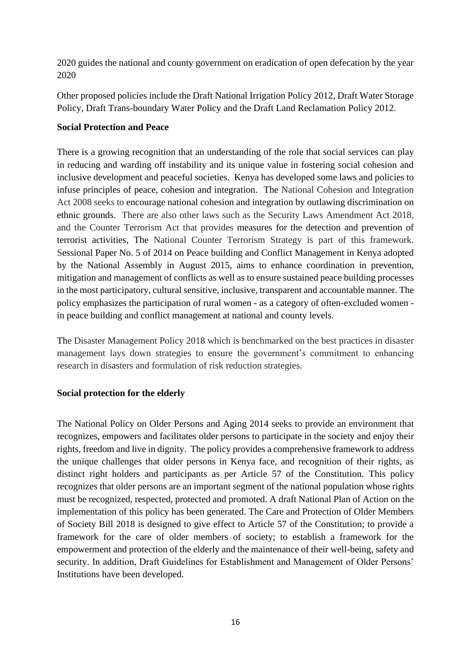2020 guides the national and county government on eradication of open defecation by the year 2020

Other proposed policies include the Draft National Irrigation Policy 2012, Draft Water Storage Policy, Draft Trans-boundary Water Policy and the Draft Land Reclamation Policy 2012.

#### **Social Protection and Peace**

There is a growing recognition that an understanding of the role that social services can play in reducing and warding off instability and its unique value in fostering social cohesion and inclusive development and peaceful societies. Kenya has developed some laws and policies to infuse principles of peace, cohesion and integration. The National Cohesion and Integration Act 2008 seeks to encourage national cohesion and integration by outlawing discrimination on ethnic grounds. There are also other laws such as the Security Laws Amendment Act 2018, and the Counter Terrorism Act that provides measures for the detection and prevention of terrorist activities, The National Counter Terrorism Strategy is part of this framework. Sessional Paper No. 5 of 2014 on Peace building and Conflict Management in Kenya adopted by the National Assembly in August 2015, aims to enhance coordination in prevention, mitigation and management of conflicts as well as to ensure sustained peace building processes in the most participatory, cultural sensitive, inclusive, transparent and accountable manner. The policy emphasizes the participation of rural women - as a category of often-excluded women in peace building and conflict management at national and county levels.

The Disaster Management Policy 2018 which is benchmarked on the best practices in disaster management lays down strategies to ensure the government's commitment to enhancing research in disasters and formulation of risk reduction strategies.

#### <span id="page-15-0"></span>**Social protection for the elderly**

The National Policy on Older Persons and Aging 2014 seeks to provide an environment that recognizes, empowers and facilitates older persons to participate in the society and enjoy their rights, freedom and live in dignity. The policy provides a comprehensive framework to address the unique challenges that older persons in Kenya face, and recognition of their rights, as distinct right holders and participants as per Article 57 of the Constitution. This policy recognizes that older persons are an important segment of the national population whose rights must be recognized, respected, protected and promoted. A draft National Plan of Action on the implementation of this policy has been generated. The Care and Protection of Older Members of Society Bill 2018 is designed to give effect to Article 57 of the Constitution; to provide a framework for the care of older members of society; to establish a framework for the empowerment and protection of the elderly and the maintenance of their well-being, safety and security. In addition, Draft Guidelines for Establishment and Management of Older Persons' Institutions have been developed.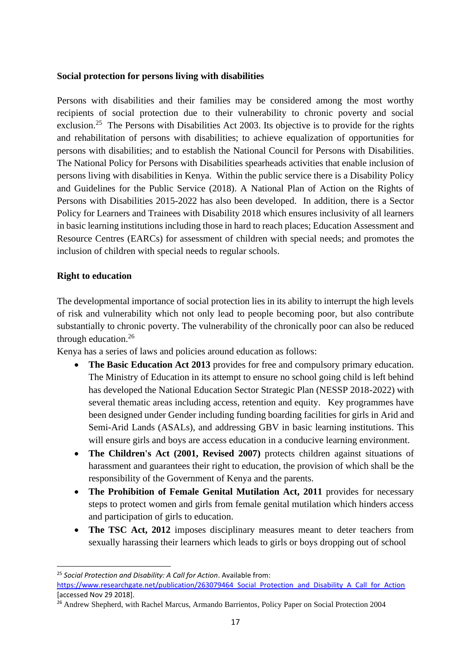#### <span id="page-16-0"></span>**Social protection for persons living with disabilities**

Persons with disabilities and their families may be considered among the most worthy recipients of social protection due to their vulnerability to chronic poverty and social exclusion.<sup>25</sup> The Persons with Disabilities Act 2003. Its objective is to provide for the rights and rehabilitation of persons with disabilities; to achieve equalization of opportunities for persons with disabilities; and to establish the National Council for Persons with Disabilities. The National Policy for Persons with Disabilities spearheads activities that enable inclusion of persons living with disabilities in Kenya. Within the public service there is a Disability Policy and Guidelines for the Public Service (2018). A National Plan of Action on the Rights of Persons with Disabilities 2015-2022 has also been developed. In addition, there is a Sector Policy for Learners and Trainees with Disability 2018 which ensures inclusivity of all learners in basic learning institutions including those in hard to reach places; Education Assessment and Resource Centres (EARCs) for assessment of children with special needs; and promotes the inclusion of children with special needs to regular schools.

#### **Right to education**

The developmental importance of social protection lies in its ability to interrupt the high levels of risk and vulnerability which not only lead to people becoming poor, but also contribute substantially to chronic poverty. The vulnerability of the chronically poor can also be reduced through education.<sup>26</sup>

Kenya has a series of laws and policies around education as follows:

- **The Basic Education Act 2013** provides for free and compulsory primary education. The Ministry of Education in its attempt to ensure no school going child is left behind has developed the National Education Sector Strategic Plan (NESSP 2018-2022) with several thematic areas including access, retention and equity. Key programmes have been designed under Gender including funding boarding facilities for girls in Arid and Semi-Arid Lands (ASALs), and addressing GBV in basic learning institutions. This will ensure girls and boys are access education in a conducive learning environment.
- **The Children's Act (2001, Revised 2007)** protects children against situations of harassment and guarantees their right to education, the provision of which shall be the responsibility of the Government of Kenya and the parents.
- **The Prohibition of Female Genital Mutilation Act, 2011** provides for necessary steps to protect women and girls from female genital mutilation which hinders access and participation of girls to education.
- **The TSC Act, 2012** imposes disciplinary measures meant to deter teachers from sexually harassing their learners which leads to girls or boys dropping out of school

<sup>25</sup> *Social Protection and Disability: A Call for Action*. Available from: https://www.researchgate.net/publication/263079464 Social Protection and Disability A Call for Action [accessed Nov 29 2018].

<sup>&</sup>lt;sup>26</sup> Andrew Shepherd, with Rachel Marcus, Armando Barrientos, Policy Paper on Social Protection 2004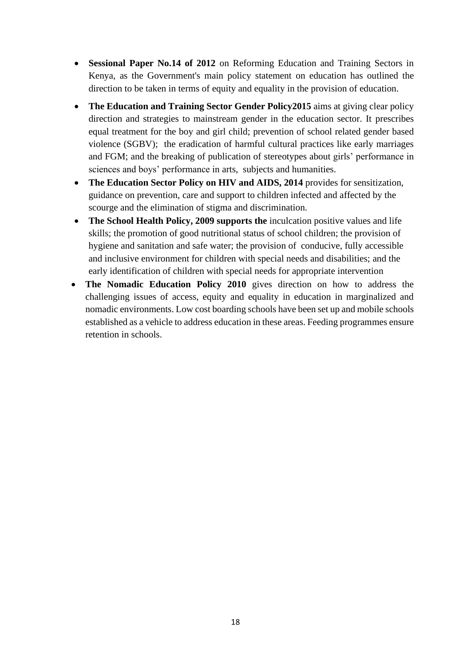- **Sessional Paper No.14 of 2012** on Reforming Education and Training Sectors in Kenya, as the Government's main policy statement on education has outlined the direction to be taken in terms of equity and equality in the provision of education.
- **The Education and Training Sector Gender Policy2015** aims at giving clear policy direction and strategies to mainstream gender in the education sector. It prescribes equal treatment for the boy and girl child; prevention of school related gender based violence (SGBV); the eradication of harmful cultural practices like early marriages and FGM; and the breaking of publication of stereotypes about girls' performance in sciences and boys' performance in arts, subjects and humanities.
- **The Education Sector Policy on HIV and AIDS, 2014** provides for sensitization, guidance on prevention, care and support to children infected and affected by the scourge and the elimination of stigma and discrimination.
- **The School Health Policy, 2009 supports the** inculcation positive values and life skills; the promotion of good nutritional status of school children; the provision of hygiene and sanitation and safe water; the provision of conducive, fully accessible and inclusive environment for children with special needs and disabilities; and the early identification of children with special needs for appropriate intervention
- **The Nomadic Education Policy 2010** gives direction on how to address the challenging issues of access, equity and equality in education in marginalized and nomadic environments. Low cost boarding schools have been set up and mobile schools established as a vehicle to address education in these areas. Feeding programmes ensure retention in schools.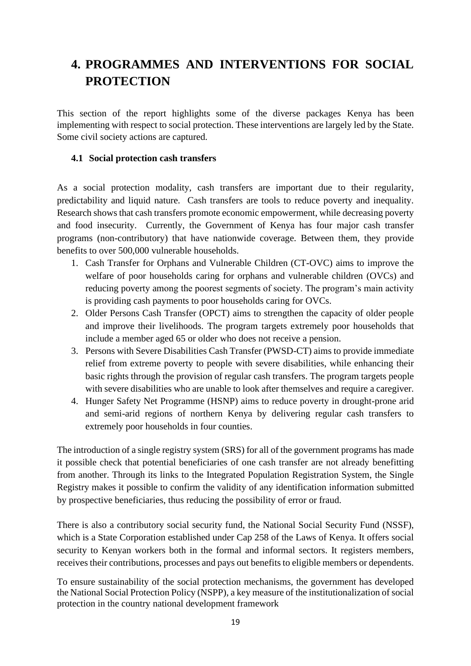# <span id="page-18-0"></span>**4. PROGRAMMES AND INTERVENTIONS FOR SOCIAL PROTECTION**

This section of the report highlights some of the diverse packages Kenya has been implementing with respect to social protection. These interventions are largely led by the State. Some civil society actions are captured.

#### <span id="page-18-1"></span>**4.1 Social protection cash transfers**

As a social protection modality, cash transfers are important due to their regularity, predictability and liquid nature. Cash transfers are tools to reduce poverty and inequality. Research shows that cash transfers promote economic empowerment, while decreasing poverty and food insecurity. Currently, the Government of Kenya has four major cash transfer programs (non-contributory) that have nationwide coverage. Between them, they provide benefits to over 500,000 vulnerable households.

- 1. Cash Transfer for Orphans and Vulnerable Children (CT-OVC) aims to improve the welfare of poor households caring for orphans and vulnerable children (OVCs) and reducing poverty among the poorest segments of society. The program's main activity is providing cash payments to poor households caring for OVCs.
- 2. Older Persons Cash Transfer (OPCT) aims to strengthen the capacity of older people and improve their livelihoods. The program targets extremely poor households that include a member aged 65 or older who does not receive a pension.
- 3. Persons with Severe Disabilities Cash Transfer (PWSD-CT) aims to provide immediate relief from extreme poverty to people with severe disabilities, while enhancing their basic rights through the provision of regular cash transfers. The program targets people with severe disabilities who are unable to look after themselves and require a caregiver.
- 4. Hunger Safety Net Programme (HSNP) aims to reduce poverty in drought-prone arid and semi-arid regions of northern Kenya by delivering regular cash transfers to extremely poor households in four counties.

The introduction of a single registry system (SRS) for all of the government programs has made it possible check that potential beneficiaries of one cash transfer are not already benefitting from another. Through its links to the Integrated Population Registration System, the Single Registry makes it possible to confirm the validity of any identification information submitted by prospective beneficiaries, thus reducing the possibility of error or fraud.

There is also a contributory social security fund, the National Social Security Fund (NSSF), which is a State Corporation established under Cap 258 of the Laws of Kenya. It offers social security to Kenyan workers both in the formal and informal sectors. It registers members, receives their contributions, processes and pays out benefits to eligible members or dependents.

To ensure sustainability of the social protection mechanisms, the government has developed the National Social Protection Policy (NSPP), a key measure of the institutionalization of social protection in the country national development framework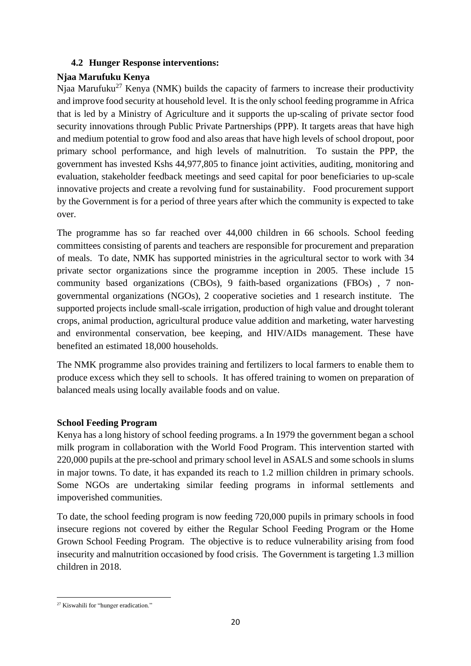## **4.2 Hunger Response interventions:**

# <span id="page-19-1"></span><span id="page-19-0"></span>**Njaa Marufuku Kenya**

Njaa Marufuku<sup>27</sup> Kenya (NMK) builds the capacity of farmers to increase their productivity and improve food security at household level. It is the only school feeding programme in Africa that is led by a Ministry of Agriculture and it supports the up-scaling of private sector food security innovations through Public Private Partnerships (PPP). It targets areas that have high and medium potential to grow food and also areas that have high levels of school dropout, poor primary school performance, and high levels of malnutrition. To sustain the PPP, the government has invested Kshs 44,977,805 to finance joint activities, auditing, monitoring and evaluation, stakeholder feedback meetings and seed capital for poor beneficiaries to up-scale innovative projects and create a revolving fund for sustainability. Food procurement support by the Government is for a period of three years after which the community is expected to take over.

The programme has so far reached over 44,000 children in 66 schools. School feeding committees consisting of parents and teachers are responsible for procurement and preparation of meals. To date, NMK has supported ministries in the agricultural sector to work with 34 private sector organizations since the programme inception in 2005. These include 15 community based organizations (CBOs), 9 faith-based organizations (FBOs) , 7 nongovernmental organizations (NGOs), 2 cooperative societies and 1 research institute. The supported projects include small-scale irrigation, production of high value and drought tolerant crops, animal production, agricultural produce value addition and marketing, water harvesting and environmental conservation, bee keeping, and HIV/AIDs management. These have benefited an estimated 18,000 households.

The NMK programme also provides training and fertilizers to local farmers to enable them to produce excess which they sell to schools. It has offered training to women on preparation of balanced meals using locally available foods and on value.

# <span id="page-19-2"></span>**School Feeding Program**

Kenya has a long history of school feeding programs. a In 1979 the government began a school milk program in collaboration with the World Food Program. This intervention started with 220,000 pupils at the pre-school and primary school level in ASALS and some schools in slums in major towns. To date, it has expanded its reach to 1.2 million children in primary schools. Some NGOs are undertaking similar feeding programs in informal settlements and impoverished communities.

To date, the school feeding program is now feeding 720,000 pupils in primary schools in food insecure regions not covered by either the Regular School Feeding Program or the Home Grown School Feeding Program. The objective is to reduce vulnerability arising from food insecurity and malnutrition occasioned by food crisis. The Government is targeting 1.3 million children in 2018.

<sup>&</sup>lt;sup>27</sup> Kiswahili for "hunger eradication."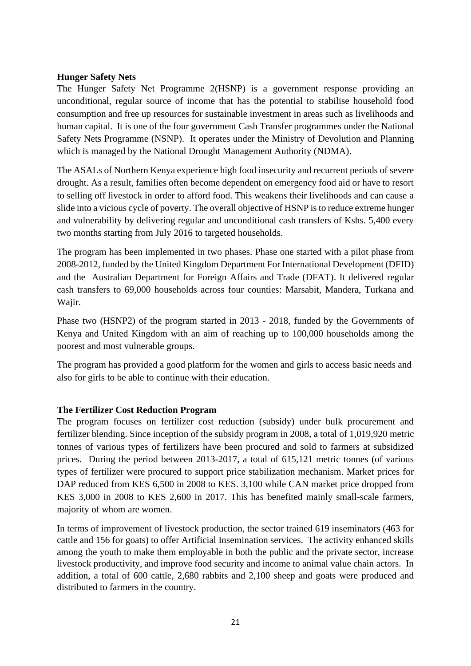#### <span id="page-20-0"></span>**Hunger Safety Nets**

The Hunger Safety Net Programme 2(HSNP) is a government response providing an unconditional, regular source of income that has the potential to stabilise household food consumption and free up resources for sustainable investment in areas such as livelihoods and human capital. It is one of the four government Cash Transfer programmes under the National Safety Nets Programme (NSNP). It operates under the Ministry of Devolution and Planning which is managed by the National Drought Management Authority (NDMA).

The ASALs of Northern Kenya experience high food insecurity and recurrent periods of severe drought. As a result, families often become dependent on emergency food aid or have to resort to selling off livestock in order to afford food. This weakens their livelihoods and can cause a slide into a vicious cycle of poverty. The overall objective of HSNP is to reduce extreme hunger and vulnerability by delivering regular and unconditional cash transfers of Kshs. 5,400 every two months starting from July 2016 to targeted households.

The program has been implemented in two phases. Phase one started with a pilot phase from 2008-2012, funded by the United Kingdom Department For International Development (DFID) and the Australian Department for Foreign Affairs and Trade (DFAT). It delivered regular cash transfers to 69,000 households across four counties: Marsabit, Mandera, Turkana and Wajir.

Phase two (HSNP2) of the program started in 2013 - 2018, funded by the Governments of Kenya and United Kingdom with an aim of reaching up to 100,000 households among the poorest and most vulnerable groups.

The program has provided a good platform for the women and girls to access basic needs and also for girls to be able to continue with their education.

#### <span id="page-20-1"></span>**The Fertilizer Cost Reduction Program**

The program focuses on fertilizer cost reduction (subsidy) under bulk procurement and fertilizer blending. Since inception of the subsidy program in 2008, a total of 1,019,920 metric tonnes of various types of fertilizers have been procured and sold to farmers at subsidized prices. During the period between 2013-2017, a total of 615,121 metric tonnes (of various types of fertilizer were procured to support price stabilization mechanism. Market prices for DAP reduced from KES 6,500 in 2008 to KES. 3,100 while CAN market price dropped from KES 3,000 in 2008 to KES 2,600 in 2017. This has benefited mainly small-scale farmers, majority of whom are women.

In terms of improvement of livestock production, the sector trained 619 inseminators (463 for cattle and 156 for goats) to offer Artificial Insemination services. The activity enhanced skills among the youth to make them employable in both the public and the private sector, increase livestock productivity, and improve food security and income to animal value chain actors. In addition, a total of 600 cattle, 2,680 rabbits and 2,100 sheep and goats were produced and distributed to farmers in the country.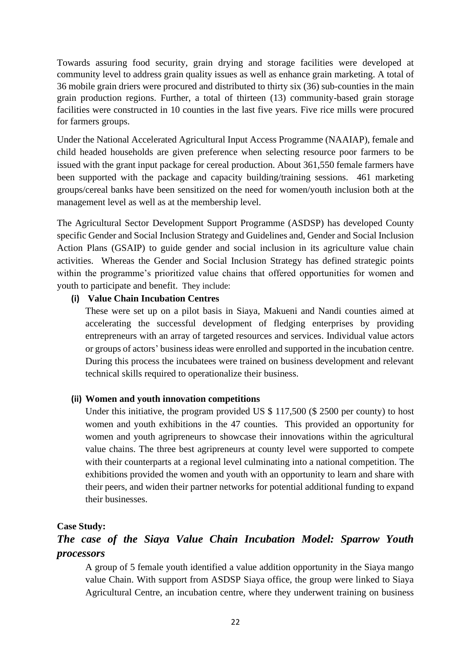Towards assuring food security, grain drying and storage facilities were developed at community level to address grain quality issues as well as enhance grain marketing. A total of 36 mobile grain driers were procured and distributed to thirty six (36) sub-counties in the main grain production regions. Further, a total of thirteen (13) community-based grain storage facilities were constructed in 10 counties in the last five years. Five rice mills were procured for farmers groups.

Under the National Accelerated Agricultural Input Access Programme (NAAIAP), female and child headed households are given preference when selecting resource poor farmers to be issued with the grant input package for cereal production. About 361,550 female farmers have been supported with the package and capacity building/training sessions. 461 marketing groups/cereal banks have been sensitized on the need for women/youth inclusion both at the management level as well as at the membership level.

The Agricultural Sector Development Support Programme (ASDSP) has developed County specific Gender and Social Inclusion Strategy and Guidelines and, Gender and Social Inclusion Action Plans (GSAIP) to guide gender and social inclusion in its agriculture value chain activities. Whereas the Gender and Social Inclusion Strategy has defined strategic points within the programme's prioritized value chains that offered opportunities for women and youth to participate and benefit. They include:

#### **(i) Value Chain Incubation Centres**

These were set up on a pilot basis in Siaya, Makueni and Nandi counties aimed at accelerating the successful development of fledging enterprises by providing entrepreneurs with an array of targeted resources and services. Individual value actors or groups of actors' business ideas were enrolled and supported in the incubation centre. During this process the incubatees were trained on business development and relevant technical skills required to operationalize their business.

#### **(ii) Women and youth innovation competitions**

Under this initiative, the program provided US \$ 117,500 (\$ 2500 per county) to host women and youth exhibitions in the 47 counties. This provided an opportunity for women and youth agripreneurs to showcase their innovations within the agricultural value chains. The three best agripreneurs at county level were supported to compete with their counterparts at a regional level culminating into a national competition. The exhibitions provided the women and youth with an opportunity to learn and share with their peers, and widen their partner networks for potential additional funding to expand their businesses.

#### <span id="page-21-0"></span>**Case Study:**

# *The case of the Siaya Value Chain Incubation Model: Sparrow Youth processors*

A group of 5 female youth identified a value addition opportunity in the Siaya mango value Chain. With support from ASDSP Siaya office, the group were linked to Siaya Agricultural Centre, an incubation centre, where they underwent training on business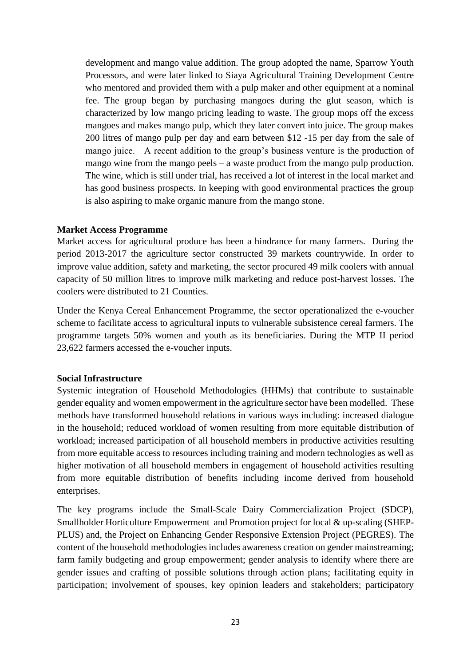development and mango value addition. The group adopted the name, Sparrow Youth Processors, and were later linked to Siaya Agricultural Training Development Centre who mentored and provided them with a pulp maker and other equipment at a nominal fee. The group began by purchasing mangoes during the glut season, which is characterized by low mango pricing leading to waste. The group mops off the excess mangoes and makes mango pulp, which they later convert into juice. The group makes 200 litres of mango pulp per day and earn between \$12 -15 per day from the sale of mango juice. A recent addition to the group's business venture is the production of mango wine from the mango peels – a waste product from the mango pulp production. The wine, which is still under trial, has received a lot of interest in the local market and has good business prospects. In keeping with good environmental practices the group is also aspiring to make organic manure from the mango stone.

#### <span id="page-22-0"></span>**Market Access Programme**

Market access for agricultural produce has been a hindrance for many farmers. During the period 2013-2017 the agriculture sector constructed 39 markets countrywide. In order to improve value addition, safety and marketing, the sector procured 49 milk coolers with annual capacity of 50 million litres to improve milk marketing and reduce post-harvest losses. The coolers were distributed to 21 Counties.

Under the Kenya Cereal Enhancement Programme, the sector operationalized the e-voucher scheme to facilitate access to agricultural inputs to vulnerable subsistence cereal farmers. The programme targets 50% women and youth as its beneficiaries. During the MTP II period 23,622 farmers accessed the e-voucher inputs.

#### <span id="page-22-1"></span>**Social Infrastructure**

Systemic integration of Household Methodologies (HHMs) that contribute to sustainable gender equality and women empowerment in the agriculture sector have been modelled. These methods have transformed household relations in various ways including: increased dialogue in the household; reduced workload of women resulting from more equitable distribution of workload; increased participation of all household members in productive activities resulting from more equitable access to resources including training and modern technologies as well as higher motivation of all household members in engagement of household activities resulting from more equitable distribution of benefits including income derived from household enterprises.

The key programs include the Small-Scale Dairy Commercialization Project (SDCP), Smallholder Horticulture Empowerment and Promotion project for local & up-scaling (SHEP-PLUS) and, the Project on Enhancing Gender Responsive Extension Project (PEGRES). The content of the household methodologies includes awareness creation on gender mainstreaming; farm family budgeting and group empowerment; gender analysis to identify where there are gender issues and crafting of possible solutions through action plans; facilitating equity in participation; involvement of spouses, key opinion leaders and stakeholders; participatory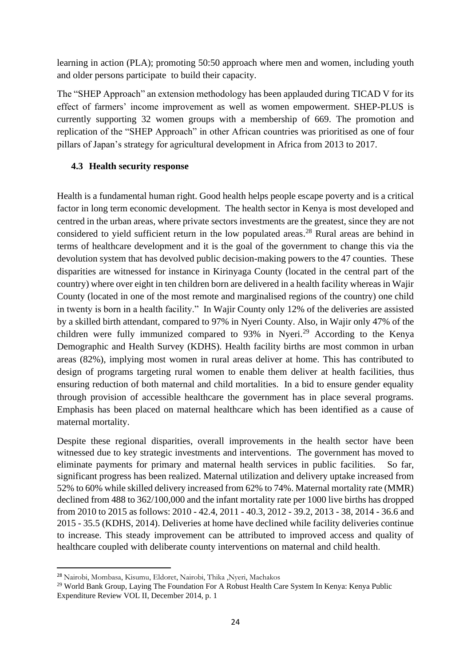learning in action (PLA); promoting 50:50 approach where men and women, including youth and older persons participate to build their capacity.

The "SHEP Approach" an extension methodology has been applauded during TICAD V for its effect of farmers' income improvement as well as women empowerment. SHEP-PLUS is currently supporting 32 women groups with a membership of 669. The promotion and replication of the "SHEP Approach" in other African countries was prioritised as one of four pillars of Japan's strategy for agricultural development in Africa from 2013 to 2017.

#### <span id="page-23-0"></span>**4.3 Health security response**

Health is a fundamental human right. Good health helps people escape poverty and is a critical factor in long term economic development. The health sector in Kenya is most developed and centred in the urban areas, where private sectors investments are the greatest, since they are not considered to yield sufficient return in the low populated areas.<sup>28</sup> Rural areas are behind in terms of healthcare development and it is the goal of the government to change this via the devolution system that has devolved public decision-making powers to the 47 counties. These disparities are witnessed for instance in Kirinyaga County (located in the central part of the country) where over eight in ten children born are delivered in a health facility whereas in Wajir County (located in one of the most remote and marginalised regions of the country) one child in twenty is born in a health facility." In Wajir County only 12% of the deliveries are assisted by a skilled birth attendant, compared to 97% in Nyeri County. Also, in Wajir only 47% of the children were fully immunized compared to  $93\%$  in Nyeri.<sup>29</sup> According to the Kenya Demographic and Health Survey (KDHS). Health facility births are most common in urban areas (82%), implying most women in rural areas deliver at home. This has contributed to design of programs targeting rural women to enable them deliver at health facilities, thus ensuring reduction of both maternal and child mortalities. In a bid to ensure gender equality through provision of accessible healthcare the government has in place several programs. Emphasis has been placed on maternal healthcare which has been identified as a cause of maternal mortality.

Despite these regional disparities, overall improvements in the health sector have been witnessed due to key strategic investments and interventions. The government has moved to eliminate payments for primary and maternal health services in public facilities. So far, significant progress has been realized. Maternal utilization and delivery uptake increased from 52% to 60% while skilled delivery increased from 62% to 74%. Maternal mortality rate (MMR) declined from 488 to 362/100,000 and the infant mortality rate per 1000 live births has dropped from 2010 to 2015 as follows: 2010 - 42.4, 2011 - 40.3, 2012 - 39.2, 2013 - 38, 2014 - 36.6 and 2015 - 35.5 (KDHS, 2014). Deliveries at home have declined while facility deliveries continue to increase. This steady improvement can be attributed to improved access and quality of healthcare coupled with deliberate county interventions on maternal and child health.

<sup>28</sup> Nairobi, Mombasa, Kisumu, Eldoret, Nairobi, Thika ,Nyeri, Machakos

<sup>29</sup> World Bank Group, Laying The Foundation For A Robust Health Care System In Kenya: Kenya Public Expenditure Review VOL II, December 2014, p. 1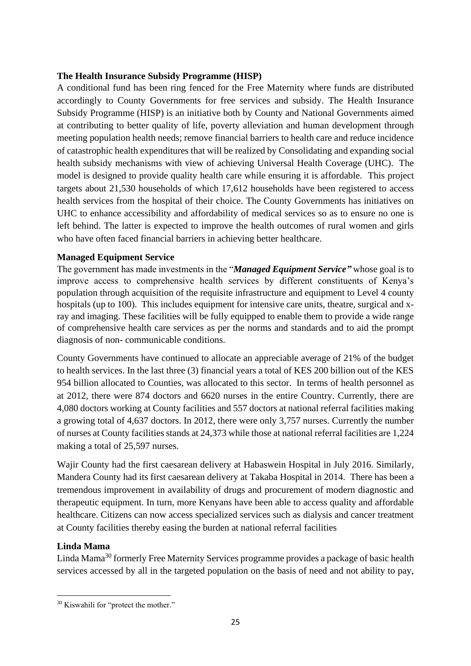#### <span id="page-24-0"></span>**The Health Insurance Subsidy Programme (HISP)**

A conditional fund has been ring fenced for the Free Maternity where funds are distributed accordingly to County Governments for free services and subsidy. The Health Insurance Subsidy Programme (HISP) is an initiative both by County and National Governments aimed at contributing to better quality of life, poverty alleviation and human development through meeting population health needs; remove financial barriers to health care and reduce incidence of catastrophic health expenditures that will be realized by Consolidating and expanding social health subsidy mechanisms with view of achieving Universal Health Coverage (UHC). The model is designed to provide quality health care while ensuring it is affordable. This project targets about 21,530 households of which 17,612 households have been registered to access health services from the hospital of their choice. The County Governments has initiatives on UHC to enhance accessibility and affordability of medical services so as to ensure no one is left behind. The latter is expected to improve the health outcomes of rural women and girls who have often faced financial barriers in achieving better healthcare.

#### <span id="page-24-1"></span>**Managed Equipment Service**

The government has made investments in the "*Managed Equipment Service"* whose goal is to improve access to comprehensive health services by different constituents of Kenya's population through acquisition of the requisite infrastructure and equipment to Level 4 county hospitals (up to 100). This includes equipment for intensive care units, theatre, surgical and xray and imaging. These facilities will be fully equipped to enable them to provide a wide range of comprehensive health care services as per the norms and standards and to aid the prompt diagnosis of non- communicable conditions.

County Governments have continued to allocate an appreciable average of 21% of the budget to health services. In the last three (3) financial years a total of KES 200 billion out of the KES 954 billion allocated to Counties, was allocated to this sector. In terms of health personnel as at 2012, there were 874 doctors and 6620 nurses in the entire Country. Currently, there are 4,080 doctors working at County facilities and 557 doctors at national referral facilities making a growing total of 4,637 doctors. In 2012, there were only 3,757 nurses. Currently the number of nurses at County facilities stands at 24,373 while those at national referral facilities are 1,224 making a total of 25,597 nurses.

Wajir County had the first caesarean delivery at Habaswein Hospital in July 2016. Similarly, Mandera County had its first caesarean delivery at Takaba Hospital in 2014. There has been a tremendous improvement in availability of drugs and procurement of modern diagnostic and therapeutic equipment. In turn, more Kenyans have been able to access quality and affordable healthcare. Citizens can now access specialized services such as dialysis and cancer treatment at County facilities thereby easing the burden at national referral facilities

#### <span id="page-24-2"></span>**Linda Mama**

Linda Mama<sup>30</sup> formerly Free Maternity Services programme provides a package of basic health services accessed by all in the targeted population on the basis of need and not ability to pay,

<sup>30</sup> Kiswahili for "protect the mother."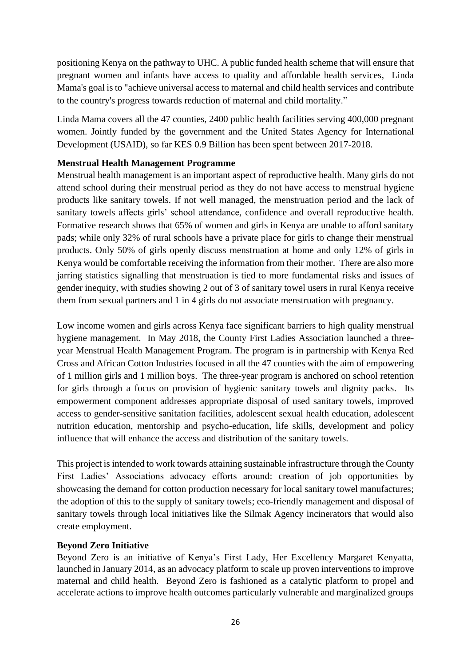positioning Kenya on the pathway to UHC. A public funded health scheme that will ensure that pregnant women and infants have access to quality and affordable health services, Linda Mama's goal is to "achieve universal access to maternal and child health services and contribute to the country's progress towards reduction of maternal and child mortality."

Linda Mama covers all the 47 counties, 2400 public health facilities serving 400,000 pregnant women. Jointly funded by the government and the United States Agency for International Development (USAID), so far KES 0.9 Billion has been spent between 2017-2018.

#### <span id="page-25-0"></span>**Menstrual Health Management Programme**

Menstrual health management is an important aspect of reproductive health. Many girls do not attend school during their menstrual period as they do not have access to menstrual hygiene products like sanitary towels. If not well managed, the menstruation period and the lack of sanitary towels affects girls' school attendance, confidence and overall reproductive health. Formative research shows that 65% of women and girls in Kenya are unable to afford sanitary pads; while only 32% of rural schools have a private place for girls to change their menstrual products. Only 50% of girls openly discuss menstruation at home and only 12% of girls in Kenya would be comfortable receiving the information from their mother. There are also more jarring statistics signalling that menstruation is tied to more fundamental risks and issues of gender inequity, with studies showing 2 out of 3 of sanitary towel users in rural Kenya receive them from sexual partners and 1 in 4 girls do not associate menstruation with pregnancy.

Low income women and girls across Kenya face significant barriers to high quality menstrual hygiene management. In May 2018, the County First Ladies Association launched a threeyear Menstrual Health Management Program. The program is in partnership with Kenya Red Cross and African Cotton Industries focused in all the 47 counties with the aim of empowering of 1 million girls and 1 million boys. The three-year program is anchored on school retention for girls through a focus on provision of hygienic sanitary towels and dignity packs. Its empowerment component addresses appropriate disposal of used sanitary towels, improved access to gender-sensitive sanitation facilities, adolescent sexual health education, adolescent nutrition education, mentorship and psycho-education, life skills, development and policy influence that will enhance the access and distribution of the sanitary towels.

This project is intended to work towards attaining sustainable infrastructure through the County First Ladies' Associations advocacy efforts around: creation of job opportunities by showcasing the demand for cotton production necessary for local sanitary towel manufactures; the adoption of this to the supply of sanitary towels; eco-friendly management and disposal of sanitary towels through local initiatives like the Silmak Agency incinerators that would also create employment.

#### <span id="page-25-1"></span>**Beyond Zero Initiative**

Beyond Zero is an initiative of Kenya's First Lady, Her Excellency Margaret Kenyatta, launched in January 2014, as an advocacy platform to scale up proven interventions to improve maternal and child health. Beyond Zero is fashioned as a catalytic platform to propel and accelerate actions to improve health outcomes particularly vulnerable and marginalized groups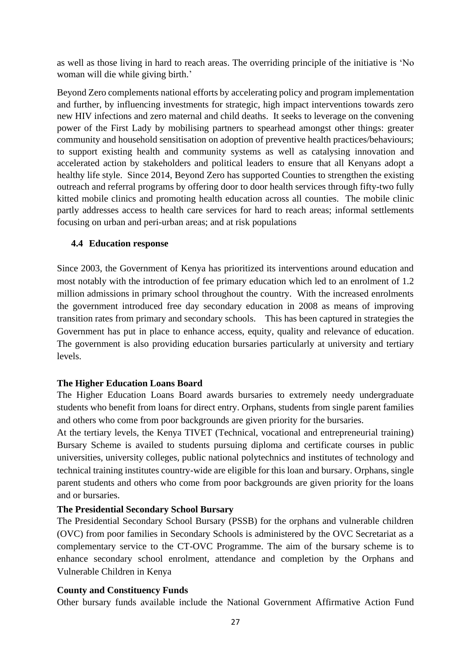as well as those living in hard to reach areas. The overriding principle of the initiative is 'No woman will die while giving birth.'

Beyond Zero complements national efforts by accelerating policy and program implementation and further, by influencing investments for strategic, high impact interventions towards zero new HIV infections and zero maternal and child deaths. It seeks to leverage on the convening power of the First Lady by mobilising partners to spearhead amongst other things: greater community and household sensitisation on adoption of preventive health practices/behaviours; to support existing health and community systems as well as catalysing innovation and accelerated action by stakeholders and political leaders to ensure that all Kenyans adopt a healthy life style. Since 2014, Beyond Zero has supported Counties to strengthen the existing outreach and referral programs by offering door to door health services through fifty-two fully kitted mobile clinics and promoting health education across all counties. The mobile clinic partly addresses access to health care services for hard to reach areas; informal settlements focusing on urban and peri-urban areas; and at risk populations

#### <span id="page-26-0"></span>**4.4 Education response**

Since 2003, the Government of Kenya has prioritized its interventions around education and most notably with the introduction of fee primary education which led to an enrolment of 1.2 million admissions in primary school throughout the country. With the increased enrolments the government introduced free day secondary education in 2008 as means of improving transition rates from primary and secondary schools. This has been captured in strategies the Government has put in place to enhance access, equity, quality and relevance of education. The government is also providing education bursaries particularly at university and tertiary levels.

#### <span id="page-26-1"></span>**The Higher Education Loans Board**

The Higher Education Loans Board awards bursaries to extremely needy undergraduate students who benefit from loans for direct entry. Orphans, students from single parent families and others who come from poor backgrounds are given priority for the bursaries.

At the tertiary levels, the Kenya TIVET (Technical, vocational and entrepreneurial training) Bursary Scheme is availed to students pursuing diploma and certificate courses in public universities, university colleges, public national polytechnics and institutes of technology and technical training institutes country-wide are eligible for this loan and bursary. Orphans, single parent students and others who come from poor backgrounds are given priority for the loans and or bursaries.

#### <span id="page-26-2"></span>**The Presidential Secondary School Bursary**

The Presidential Secondary School Bursary (PSSB) for the orphans and vulnerable children (OVC) from poor families in Secondary Schools is administered by the OVC Secretariat as a complementary service to the CT-OVC Programme. The aim of the bursary scheme is to enhance secondary school enrolment, attendance and completion by the Orphans and Vulnerable Children in Kenya

#### <span id="page-26-3"></span>**County and Constituency Funds**

Other bursary funds available include the National Government Affirmative Action Fund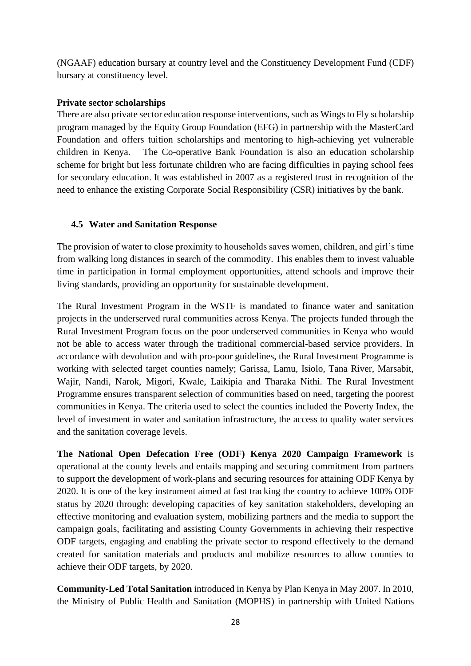(NGAAF) education bursary at country level and the Constituency Development Fund (CDF) bursary at constituency level.

#### <span id="page-27-0"></span>**Private sector scholarships**

There are also private sector education response interventions, such as Wings to Fly scholarship program managed by the Equity Group Foundation (EFG) in partnership with the MasterCard Foundation and offers tuition scholarships and mentoring to high-achieving yet vulnerable children in Kenya. The Co-operative Bank Foundation is also an education scholarship scheme for bright but less fortunate children who are facing difficulties in paying school fees for secondary education. It was established in 2007 as a registered trust in recognition of the need to enhance the existing Corporate Social Responsibility (CSR) initiatives by the bank.

## <span id="page-27-1"></span>**4.5 Water and Sanitation Response**

The provision of water to close proximity to households saves women, children, and girl's time from walking long distances in search of the commodity. This enables them to invest valuable time in participation in formal employment opportunities, attend schools and improve their living standards, providing an opportunity for sustainable development.

The Rural Investment Program in the WSTF is mandated to finance water and sanitation projects in the underserved rural communities across Kenya. The projects funded through the Rural Investment Program focus on the poor underserved communities in Kenya who would not be able to access water through the traditional commercial-based service providers. In accordance with devolution and with pro-poor guidelines, the Rural Investment Programme is working with selected target counties namely; Garissa, Lamu, Isiolo, Tana River, Marsabit, Wajir, Nandi, Narok, Migori, Kwale, Laikipia and Tharaka Nithi. The Rural Investment Programme ensures transparent selection of communities based on need, targeting the poorest communities in Kenya. The criteria used to select the counties included the Poverty Index, the level of investment in water and sanitation infrastructure, the access to quality water services and the sanitation coverage levels.

**The National Open Defecation Free (ODF) Kenya 2020 Campaign Framework** is operational at the county levels and entails mapping and securing commitment from partners to support the development of work-plans and securing resources for attaining ODF Kenya by 2020. It is one of the key instrument aimed at fast tracking the country to achieve 100% ODF status by 2020 through: developing capacities of key sanitation stakeholders, developing an effective monitoring and evaluation system, mobilizing partners and the media to support the campaign goals, facilitating and assisting County Governments in achieving their respective ODF targets, engaging and enabling the private sector to respond effectively to the demand created for sanitation materials and products and mobilize resources to allow counties to achieve their ODF targets, by 2020.

**Community-Led Total Sanitation** introduced in Kenya by Plan Kenya in May 2007. In 2010, the Ministry of Public Health and Sanitation (MOPHS) in partnership with United Nations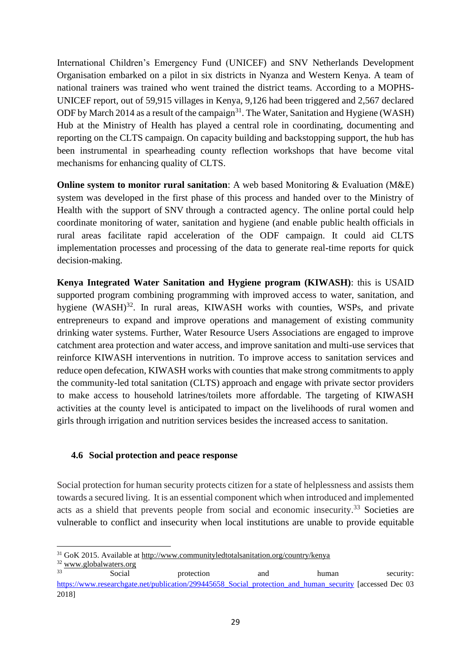International Children's Emergency Fund (UNICEF) and SNV Netherlands Development Organisation embarked on a pilot in six districts in Nyanza and Western Kenya. A team of national trainers was trained who went trained the district teams. According to a MOPHS-UNICEF report, out of 59,915 villages in Kenya, 9,126 had been triggered and 2,567 declared ODF by March 2014 as a result of the campaign<sup>31</sup>. The Water, Sanitation and Hygiene (WASH) Hub at the Ministry of Health has played a central role in coordinating, documenting and reporting on the CLTS campaign. On capacity building and backstopping support, the hub has been instrumental in spearheading county reflection workshops that have become vital mechanisms for enhancing quality of CLTS.

**Online system to monitor rural sanitation**: A web based Monitoring & Evaluation (M&E) system was developed in the first phase of this process and handed over to the Ministry of Health with the support of SNV through a contracted agency. The online portal could help coordinate monitoring of water, sanitation and hygiene (and enable public health officials in rural areas facilitate rapid acceleration of the ODF campaign. It could aid CLTS implementation processes and processing of the data to generate real-time reports for quick decision-making.

**Kenya Integrated Water Sanitation and Hygiene program (KIWASH)**: this is USAID supported program combining programming with improved access to water, sanitation, and hygiene (WASH)<sup>32</sup>. In rural areas, KIWASH works with counties, WSPs, and private entrepreneurs to expand and improve operations and management of existing community drinking water systems. Further, Water Resource Users Associations are engaged to improve catchment area protection and water access, and improve sanitation and multi-use services that reinforce KIWASH interventions in nutrition. To improve access to sanitation services and reduce open defecation, KIWASH works with counties that make strong commitments to apply the community-led total sanitation (CLTS) approach and engage with private sector providers to make access to household latrines/toilets more affordable. The targeting of KIWASH activities at the county level is anticipated to impact on the livelihoods of rural women and girls through irrigation and nutrition services besides the increased access to sanitation.

#### <span id="page-28-0"></span>**4.6 Social protection and peace response**

Social protection for human security protects citizen for a state of helplessness and assists them towards a secured living. It is an essential component which when introduced and implemented acts as a shield that prevents people from social and economic insecurity.<sup>33</sup> Societies are vulnerable to conflict and insecurity when local institutions are unable to provide equitable

```
\frac{32}{33}www.globalwaters.org
```
<sup>&</sup>lt;sup>31</sup> GoK 2015. Available at<http://www.communityledtotalsanitation.org/country/kenya>

<sup>33</sup> Social protection and human security: [https://www.researchgate.net/publication/299445658\\_Social\\_protection\\_and\\_human\\_security](https://www.researchgate.net/publication/299445658_Social_protection_and_human_security) [accessed Dec 03 2018]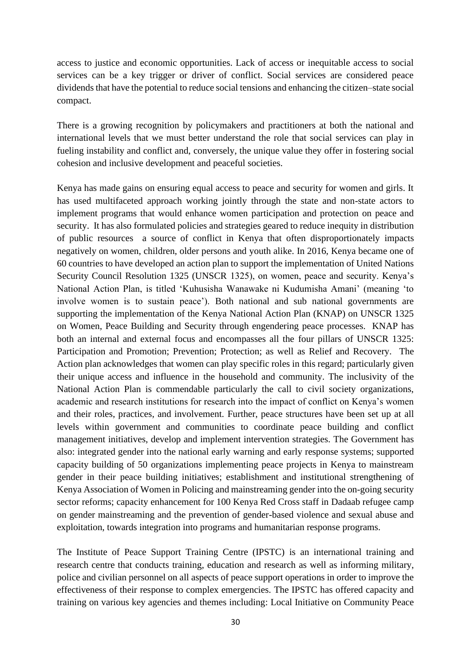access to justice and economic opportunities. Lack of access or inequitable access to social services can be a key trigger or driver of conflict. Social services are considered peace dividends that have the potential to reduce social tensions and enhancing the citizen–state social compact.

There is a growing recognition by policymakers and practitioners at both the national and international levels that we must better understand the role that social services can play in fueling instability and conflict and, conversely, the unique value they offer in fostering social cohesion and inclusive development and peaceful societies.

Kenya has made gains on ensuring equal access to peace and security for women and girls. It has used multifaceted approach working jointly through the state and non-state actors to implement programs that would enhance women participation and protection on peace and security. It has also formulated policies and strategies geared to reduce inequity in distribution of public resources a source of conflict in Kenya that often disproportionately impacts negatively on women, children, older persons and youth alike. In 2016, Kenya became one of 60 countries to have developed an action plan to support the implementation of United Nations Security Council Resolution 1325 (UNSCR 1325), on women, peace and security. Kenya's National Action Plan, is titled 'Kuhusisha Wanawake ni Kudumisha Amani' (meaning 'to involve women is to sustain peace'). Both national and sub national governments are supporting the implementation of the Kenya National Action Plan (KNAP) on UNSCR 1325 on Women, Peace Building and Security through engendering peace processes. KNAP has both an internal and external focus and encompasses all the four pillars of UNSCR 1325: Participation and Promotion; Prevention; Protection; as well as Relief and Recovery. The Action plan acknowledges that women can play specific roles in this regard; particularly given their unique access and influence in the household and community. The inclusivity of the National Action Plan is commendable particularly the call to civil society organizations, academic and research institutions for research into the impact of conflict on Kenya's women and their roles, practices, and involvement. Further, peace structures have been set up at all levels within government and communities to coordinate peace building and conflict management initiatives, develop and implement intervention strategies. The Government has also: integrated gender into the national early warning and early response systems; supported capacity building of 50 organizations implementing peace projects in Kenya to mainstream gender in their peace building initiatives; establishment and institutional strengthening of Kenya Association of Women in Policing and mainstreaming gender into the on-going security sector reforms; capacity enhancement for 100 Kenya Red Cross staff in Dadaab refugee camp on gender mainstreaming and the prevention of gender-based violence and sexual abuse and exploitation, towards integration into programs and humanitarian response programs.

The Institute of Peace Support Training Centre (IPSTC) is an international training and research centre that conducts training, education and research as well as informing military, police and civilian personnel on all aspects of peace support operations in order to improve the effectiveness of their response to complex emergencies. The IPSTC has offered capacity and training on various key agencies and themes including: Local Initiative on Community Peace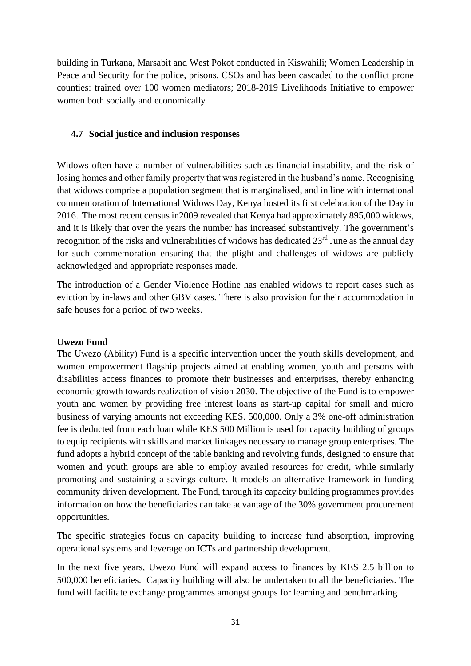building in Turkana, Marsabit and West Pokot conducted in Kiswahili; Women Leadership in Peace and Security for the police, prisons, CSOs and has been cascaded to the conflict prone counties: trained over 100 women mediators; 2018-2019 Livelihoods Initiative to empower women both socially and economically

#### <span id="page-30-0"></span>**4.7 Social justice and inclusion responses**

Widows often have a number of vulnerabilities such as financial instability, and the risk of losing homes and other family property that was registered in the husband's name. Recognising that widows comprise a population segment that is marginalised, and in line with international commemoration of International Widows Day, Kenya hosted its first celebration of the Day in 2016. The most recent census in2009 revealed that Kenya had approximately 895,000 widows, and it is likely that over the years the number has increased substantively. The government's recognition of the risks and vulnerabilities of widows has dedicated  $23<sup>rd</sup>$  June as the annual day for such commemoration ensuring that the plight and challenges of widows are publicly acknowledged and appropriate responses made.

The introduction of a Gender Violence Hotline has enabled widows to report cases such as eviction by in-laws and other GBV cases. There is also provision for their accommodation in safe houses for a period of two weeks.

#### <span id="page-30-1"></span>**Uwezo Fund**

The Uwezo (Ability) Fund is a specific intervention under the youth skills development, and women empowerment flagship projects aimed at enabling women, youth and persons with disabilities access finances to promote their businesses and enterprises, thereby enhancing economic growth towards realization of vision 2030. The objective of the Fund is to empower youth and women by providing free interest loans as start-up capital for small and micro business of varying amounts not exceeding KES. 500,000. Only a 3% one-off administration fee is deducted from each loan while KES 500 Million is used for capacity building of groups to equip recipients with skills and market linkages necessary to manage group enterprises. The fund adopts a hybrid concept of the table banking and revolving funds, designed to ensure that women and youth groups are able to employ availed resources for credit, while similarly promoting and sustaining a savings culture. It models an alternative framework in funding community driven development. The Fund, through its capacity building programmes provides information on how the beneficiaries can take advantage of the 30% government procurement opportunities.

The specific strategies focus on capacity building to increase fund absorption, improving operational systems and leverage on ICTs and partnership development.

In the next five years, Uwezo Fund will expand access to finances by KES 2.5 billion to 500,000 beneficiaries. Capacity building will also be undertaken to all the beneficiaries. The fund will facilitate exchange programmes amongst groups for learning and benchmarking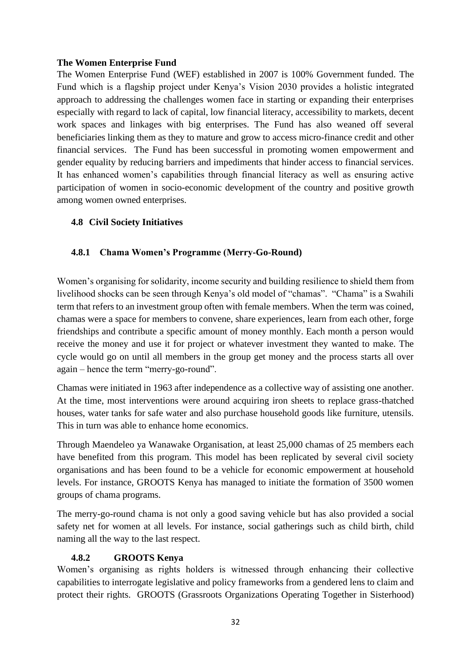#### <span id="page-31-0"></span>**The Women Enterprise Fund**

The Women Enterprise Fund (WEF) established in 2007 is 100% Government funded. The Fund which is a flagship project under Kenya's Vision 2030 provides a holistic integrated approach to addressing the challenges women face in starting or expanding their enterprises especially with regard to lack of capital, low financial literacy, accessibility to markets, decent work spaces and linkages with big enterprises. The Fund has also weaned off several beneficiaries linking them as they to mature and grow to access micro-finance credit and other financial services. The Fund has been successful in promoting women empowerment and gender equality by reducing barriers and impediments that hinder access to financial services. It has enhanced women's capabilities through financial literacy as well as ensuring active participation of women in socio-economic development of the country and positive growth among women owned enterprises.

#### <span id="page-31-1"></span>**4.8 Civil Society Initiatives**

## <span id="page-31-2"></span>**4.8.1 Chama Women's Programme (Merry-Go-Round)**

Women's organising for solidarity, income security and building resilience to shield them from livelihood shocks can be seen through Kenya's old model of "chamas". "Chama" is a Swahili term that refers to an investment group often with female members. When the term was coined, chamas were a space for members to convene, share experiences, learn from each other, forge friendships and contribute a specific amount of money monthly. Each month a person would receive the money and use it for project or whatever investment they wanted to make. The cycle would go on until all members in the group get money and the process starts all over again – hence the term "merry-go-round".

Chamas were initiated in 1963 after independence as a collective way of assisting one another. At the time, most interventions were around acquiring iron sheets to replace grass-thatched houses, water tanks for safe water and also purchase household goods like furniture, utensils. This in turn was able to enhance home economics.

Through Maendeleo ya Wanawake Organisation, at least 25,000 chamas of 25 members each have benefited from this program. This model has been replicated by several civil society organisations and has been found to be a vehicle for economic empowerment at household levels. For instance, GROOTS Kenya has managed to initiate the formation of 3500 women groups of chama programs.

The merry-go-round chama is not only a good saving vehicle but has also provided a social safety net for women at all levels. For instance, social gatherings such as child birth, child naming all the way to the last respect.

#### <span id="page-31-3"></span>**4.8.2 GROOTS Kenya**

Women's organising as rights holders is witnessed through enhancing their collective capabilities to interrogate legislative and policy frameworks from a gendered lens to claim and protect their rights. GROOTS (Grassroots Organizations Operating Together in Sisterhood)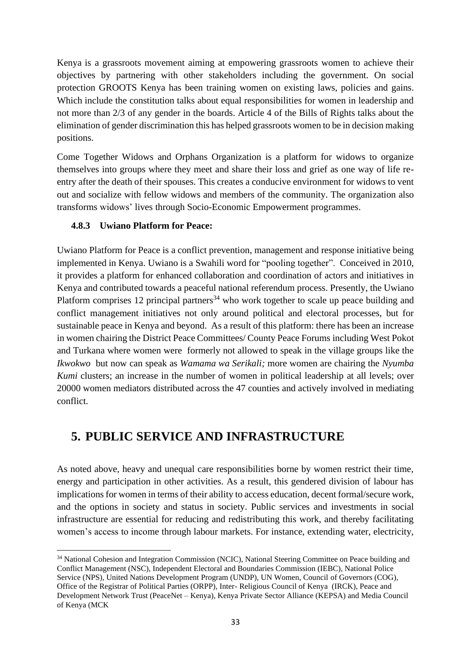Kenya is a grassroots movement aiming at empowering grassroots women to achieve their objectives by partnering with other stakeholders including the government. On social protection GROOTS Kenya has been training women on existing laws, policies and gains. Which include the constitution talks about equal responsibilities for women in leadership and not more than 2/3 of any gender in the boards. Article 4 of the Bills of Rights talks about the elimination of gender discrimination this has helped grassroots women to be in decision making positions.

Come Together Widows and Orphans Organization is a platform for widows to organize themselves into groups where they meet and share their loss and grief as one way of life reentry after the death of their spouses. This creates a conducive environment for widows to vent out and socialize with fellow widows and members of the community. The organization also transforms widows' lives through Socio-Economic Empowerment programmes.

## <span id="page-32-0"></span>**4.8.3 Uwiano Platform for Peace:**

Uwiano Platform for Peace is a conflict prevention, management and response initiative being implemented in Kenya. Uwiano is a Swahili word for "pooling together". Conceived in 2010, it provides a platform for enhanced collaboration and coordination of actors and initiatives in Kenya and contributed towards a peaceful national referendum process. Presently, the Uwiano Platform comprises 12 principal partners<sup>34</sup> who work together to scale up peace building and conflict management initiatives not only around political and electoral processes, but for sustainable peace in Kenya and beyond. As a result of this platform: there has been an increase in women chairing the District Peace Committees/ County Peace Forums including West Pokot and Turkana where women were formerly not allowed to speak in the village groups like the *Ikwokwo* but now can speak as *Wamama wa Serikali;* more women are chairing the *Nyumba Kumi* clusters; an increase in the number of women in political leadership at all levels; over 20000 women mediators distributed across the 47 counties and actively involved in mediating conflict.

# <span id="page-32-1"></span>**5. PUBLIC SERVICE AND INFRASTRUCTURE**

As noted above, heavy and unequal care responsibilities borne by women restrict their time, energy and participation in other activities. As a result, this gendered division of labour has implications for women in terms of their ability to access education, decent formal/secure work, and the options in society and status in society. Public services and investments in social infrastructure are essential for reducing and redistributing this work, and thereby facilitating women's access to income through labour markets. For instance, extending water, electricity,

<sup>&</sup>lt;sup>34</sup> National Cohesion and Integration Commission (NCIC), National Steering Committee on Peace building and Conflict Management (NSC), Independent Electoral and Boundaries Commission (IEBC), National Police Service (NPS), United Nations Development Program (UNDP), UN Women, Council of Governors (COG), Office of the Registrar of Political Parties (ORPP), Inter- Religious Council of Kenya (IRCK), Peace and Development Network Trust (PeaceNet – Kenya), Kenya Private Sector Alliance (KEPSA) and Media Council of Kenya (MCK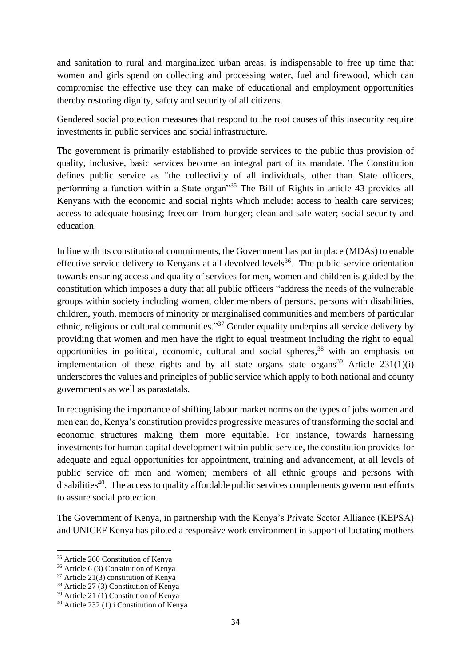and sanitation to rural and marginalized urban areas, is indispensable to free up time that women and girls spend on collecting and processing water, fuel and firewood, which can compromise the effective use they can make of educational and employment opportunities thereby restoring dignity, safety and security of all citizens.

Gendered social protection measures that respond to the root causes of this insecurity require investments in public services and social infrastructure.

The government is primarily established to provide services to the public thus provision of quality, inclusive, basic services become an integral part of its mandate. The Constitution defines public service as "the collectivity of all individuals, other than State officers, performing a function within a State organ"<sup>35</sup> The Bill of Rights in article 43 provides all Kenyans with the economic and social rights which include: access to health care services; access to adequate housing; freedom from hunger; clean and safe water; social security and education.

In line with its constitutional commitments, the Government has put in place (MDAs) to enable effective service delivery to Kenyans at all devolved levels<sup>36</sup>. The public service orientation towards ensuring access and quality of services for men, women and children is guided by the constitution which imposes a duty that all public officers "address the needs of the vulnerable groups within society including women, older members of persons, persons with disabilities, children, youth, members of minority or marginalised communities and members of particular ethnic, religious or cultural communities."<sup>37</sup> Gender equality underpins all service delivery by providing that women and men have the right to equal treatment including the right to equal opportunities in political, economic, cultural and social spheres, <sup>38</sup> with an emphasis on implementation of these rights and by all state organs state organs<sup>39</sup> Article 231(1)(i) underscores the values and principles of public service which apply to both national and county governments as well as parastatals.

In recognising the importance of shifting labour market norms on the types of jobs women and men can do, Kenya's constitution provides progressive measures of transforming the social and economic structures making them more equitable. For instance, towards harnessing investments for human capital development within public service, the constitution provides for adequate and equal opportunities for appointment, training and advancement, at all levels of public service of: men and women; members of all ethnic groups and persons with disabilities<sup>40</sup>. The access to quality affordable public services complements government efforts to assure social protection.

The Government of Kenya, in partnership with the Kenya's Private Sector Alliance (KEPSA) and UNICEF Kenya has piloted a responsive work environment in support of lactating mothers

<sup>35</sup> Article 260 Constitution of Kenya

<sup>36</sup> Article 6 (3) Constitution of Kenya

 $37$  Article 21(3) constitution of Kenya

<sup>38</sup> Article 27 (3) Constitution of Kenya

<sup>39</sup> Article 21 (1) Constitution of Kenya

 $40$  Article 232 (1) i Constitution of Kenya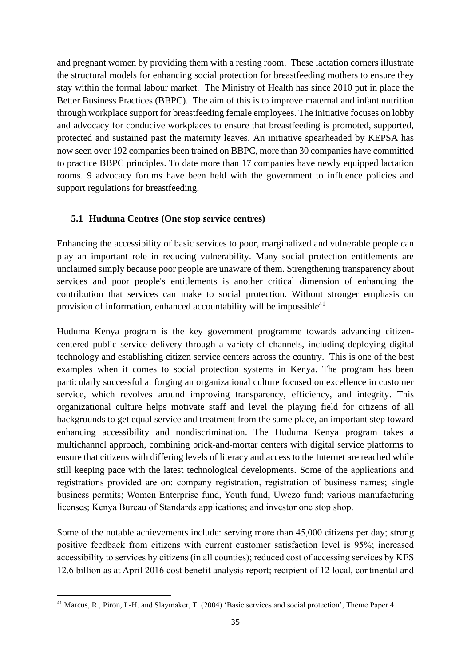and pregnant women by providing them with a resting room. These lactation corners illustrate the structural models for enhancing social protection for breastfeeding mothers to ensure they stay within the formal labour market. The Ministry of Health has since 2010 put in place the Better Business Practices (BBPC). The aim of this is to improve maternal and infant nutrition through workplace support for breastfeeding female employees. The initiative focuses on lobby and advocacy for conducive workplaces to ensure that breastfeeding is promoted, supported, protected and sustained past the maternity leaves. An initiative spearheaded by KEPSA has now seen over 192 companies been trained on BBPC, more than 30 companies have committed to practice BBPC principles. To date more than 17 companies have newly equipped lactation rooms. 9 advocacy forums have been held with the government to influence policies and support regulations for breastfeeding.

#### <span id="page-34-0"></span>**5.1 Huduma Centres (One stop service centres)**

Enhancing the accessibility of basic services to poor, marginalized and vulnerable people can play an important role in reducing vulnerability. Many social protection entitlements are unclaimed simply because poor people are unaware of them. Strengthening transparency about services and poor people's entitlements is another critical dimension of enhancing the contribution that services can make to social protection. Without stronger emphasis on provision of information, enhanced accountability will be impossible $41$ 

Huduma Kenya program is the key government programme towards advancing citizencentered public service delivery through a variety of channels, including deploying digital technology and establishing citizen service centers across the country. This is one of the best examples when it comes to social protection systems in Kenya. The program has been particularly successful at forging an organizational culture focused on excellence in customer service, which revolves around improving transparency, efficiency, and integrity. This organizational culture helps motivate staff and level the playing field for citizens of all backgrounds to get equal service and treatment from the same place, an important step toward enhancing accessibility and nondiscrimination. The Huduma Kenya program takes a multichannel approach, combining brick-and-mortar centers with digital service platforms to ensure that citizens with differing levels of literacy and access to the Internet are reached while still keeping pace with the latest technological developments. Some of the applications and registrations provided are on: company registration, registration of business names; single business permits; Women Enterprise fund, Youth fund, Uwezo fund; various manufacturing licenses; Kenya Bureau of Standards applications; and investor one stop shop.

Some of the notable achievements include: serving more than 45,000 citizens per day; strong positive feedback from citizens with current customer satisfaction level is 95%; increased accessibility to services by citizens (in all counties); reduced cost of accessing services by KES 12.6 billion as at April 2016 cost benefit analysis report; recipient of 12 local, continental and

<sup>41</sup> Marcus, R., Piron, L-H. and Slaymaker, T. (2004) 'Basic services and social protection', Theme Paper 4.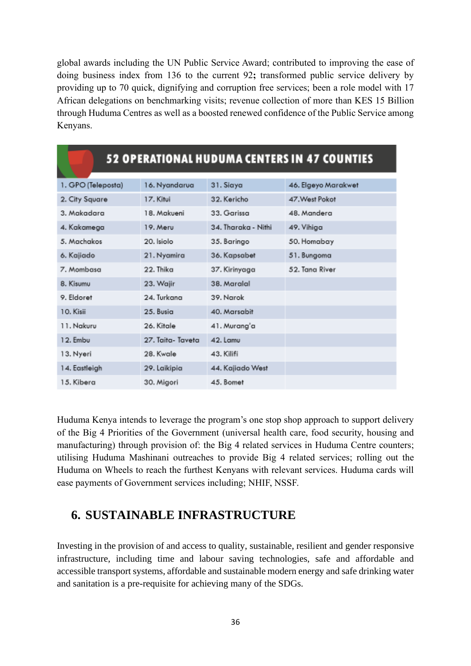global awards including the UN Public Service Award; contributed to improving the ease of doing business index from 136 to the current 92**;** transformed public service delivery by providing up to 70 quick, dignifying and corruption free services; been a role model with 17 African delegations on benchmarking visits; revenue collection of more than KES 15 Billion through Huduma Centres as well as a boosted renewed confidence of the Public Service among Kenyans.

| <b>52 OPERATIONAL HUDUMA CENTERS IN 47 COUNTIES</b> |                   |                     |                     |  |  |  |  |
|-----------------------------------------------------|-------------------|---------------------|---------------------|--|--|--|--|
| 1. GPO (Teleposta)                                  | 16. Nyandarua     | 31. Siaya           | 46. Elgeyo Marakwet |  |  |  |  |
| 2. City Square                                      | 17. Kitui         | 32. Kericho         | 47. West Pokot      |  |  |  |  |
| 3. Makadara                                         | 18. Makueni       | 33. Garissa         | 48. Mandera         |  |  |  |  |
| 4. Kakamega                                         | 19. Meru          | 34. Tharaka - Nithi | 49. Vihiga          |  |  |  |  |
| 5. Machakos                                         | 20. Isiolo        | 35. Baringo         | 50. Homabay         |  |  |  |  |
| 6. Kajiado                                          | 21. Nyamira       | 36. Kapsabet        | 51. Bungoma         |  |  |  |  |
| 7. Mombasa                                          | 22. Thika         | 37. Kirinyaga       | 52. Tana River      |  |  |  |  |
| 8. Kisumu                                           | 23. Wajir         | 38. Maralal         |                     |  |  |  |  |
| 9. Eldoret                                          | 24. Turkana       | 39. Narok           |                     |  |  |  |  |
| 10. Kisii                                           | 25. Busia         | 40. Marsabit        |                     |  |  |  |  |
| 11. Nakuru                                          | 26. Kitale        | 41. Murang'a        |                     |  |  |  |  |
| 12. Embu                                            | 27. Taita- Taveta | 42. Lamu            |                     |  |  |  |  |
| 13. Nyeri                                           | 28. Kwale         | 43. Kilifi          |                     |  |  |  |  |
| 14. Eastleigh                                       | 29. Laikipia      | 44. Kajiado West    |                     |  |  |  |  |
| 15. Kibera                                          | 30. Migori        | 45. Bomet           |                     |  |  |  |  |

Huduma Kenya intends to leverage the program's one stop shop approach to support delivery of the Big 4 Priorities of the Government (universal health care, food security, housing and manufacturing) through provision of: the Big 4 related services in Huduma Centre counters; utilising Huduma Mashinani outreaches to provide Big 4 related services; rolling out the Huduma on Wheels to reach the furthest Kenyans with relevant services. Huduma cards will ease payments of Government services including; NHIF, NSSF.

# <span id="page-35-0"></span>**6. SUSTAINABLE INFRASTRUCTURE**

Investing in the provision of and access to quality, sustainable, resilient and gender responsive infrastructure, including time and labour saving technologies, safe and affordable and accessible transport systems, affordable and sustainable modern energy and safe drinking water and sanitation is a pre-requisite for achieving many of the SDGs.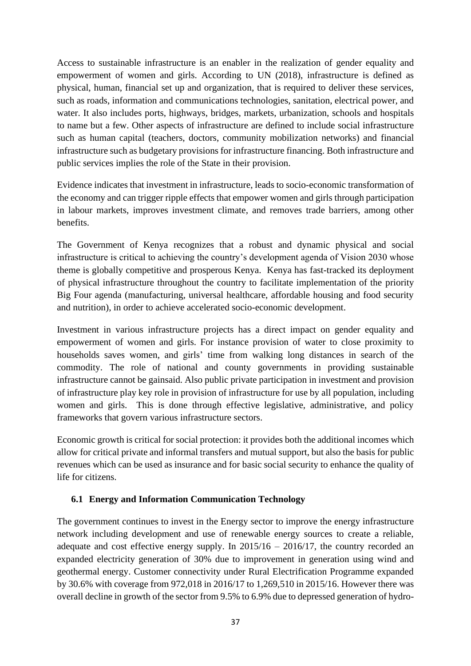Access to sustainable infrastructure is an enabler in the realization of gender equality and empowerment of women and girls. According to UN (2018), infrastructure is defined as physical, human, financial set up and organization, that is required to deliver these services, such as roads, information and communications technologies, sanitation, electrical power, and water. It also includes ports, highways, bridges, markets, urbanization, schools and hospitals to name but a few. Other aspects of infrastructure are defined to include social infrastructure such as human capital (teachers, doctors, community mobilization networks) and financial infrastructure such as budgetary provisions for infrastructure financing. Both infrastructure and public services implies the role of the State in their provision.

Evidence indicates that investment in infrastructure, leads to socio-economic transformation of the economy and can trigger ripple effects that empower women and girls through participation in labour markets, improves investment climate, and removes trade barriers, among other benefits.

The Government of Kenya recognizes that a robust and dynamic physical and social infrastructure is critical to achieving the country's development agenda of Vision 2030 whose theme is globally competitive and prosperous Kenya. Kenya has fast-tracked its deployment of physical infrastructure throughout the country to facilitate implementation of the priority Big Four agenda (manufacturing, universal healthcare, affordable housing and food security and nutrition), in order to achieve accelerated socio-economic development.

Investment in various infrastructure projects has a direct impact on gender equality and empowerment of women and girls. For instance provision of water to close proximity to households saves women, and girls' time from walking long distances in search of the commodity. The role of national and county governments in providing sustainable infrastructure cannot be gainsaid. Also public private participation in investment and provision of infrastructure play key role in provision of infrastructure for use by all population, including women and girls. This is done through effective legislative, administrative, and policy frameworks that govern various infrastructure sectors.

Economic growth is critical for social protection: it provides both the additional incomes which allow for critical private and informal transfers and mutual support, but also the basis for public revenues which can be used as insurance and for basic social security to enhance the quality of life for citizens.

#### <span id="page-36-0"></span>**6.1 Energy and Information Communication Technology**

The government continues to invest in the Energy sector to improve the energy infrastructure network including development and use of renewable energy sources to create a reliable, adequate and cost effective energy supply. In  $2015/16 - 2016/17$ , the country recorded an expanded electricity generation of 30% due to improvement in generation using wind and geothermal energy. Customer connectivity under Rural Electrification Programme expanded by 30.6% with coverage from 972,018 in 2016/17 to 1,269,510 in 2015/16. However there was overall decline in growth of the sector from 9.5% to 6.9% due to depressed generation of hydro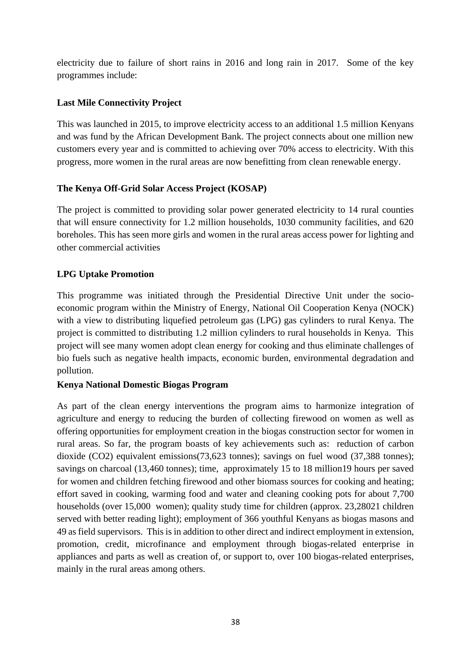electricity due to failure of short rains in 2016 and long rain in 2017. Some of the key programmes include:

# <span id="page-37-0"></span>**Last Mile Connectivity Project**

This was launched in 2015, to improve electricity access to an additional 1.5 million Kenyans and was fund by the African Development Bank. The project connects about one million new customers every year and is committed to achieving over 70% access to electricity. With this progress, more women in the rural areas are now benefitting from clean renewable energy.

#### <span id="page-37-1"></span>**The Kenya Off-Grid Solar Access Project (KOSAP)**

The project is committed to providing solar power generated electricity to 14 rural counties that will ensure connectivity for 1.2 million households, 1030 community facilities, and 620 boreholes. This has seen more girls and women in the rural areas access power for lighting and other commercial activities

#### <span id="page-37-2"></span>**LPG Uptake Promotion**

This programme was initiated through the Presidential Directive Unit under the socioeconomic program within the Ministry of Energy, National Oil Cooperation Kenya (NOCK) with a view to distributing liquefied petroleum gas (LPG) gas cylinders to rural Kenya. The project is committed to distributing 1.2 million cylinders to rural households in Kenya. This project will see many women adopt clean energy for cooking and thus eliminate challenges of bio fuels such as negative health impacts, economic burden, environmental degradation and pollution.

#### <span id="page-37-3"></span>**Kenya National Domestic Biogas Program**

As part of the clean energy interventions the program aims to harmonize integration of agriculture and energy to reducing the burden of collecting firewood on women as well as offering opportunities for employment creation in the biogas construction sector for women in rural areas. So far, the program boasts of key achievements such as: reduction of carbon dioxide (CO2) equivalent emissions(73,623 tonnes); savings on fuel wood (37,388 tonnes); savings on charcoal (13,460 tonnes); time, approximately 15 to 18 million19 hours per saved for women and children fetching firewood and other biomass sources for cooking and heating; effort saved in cooking, warming food and water and cleaning cooking pots for about 7,700 households (over 15,000 women); quality study time for children (approx. 23,28021 children served with better reading light); employment of 366 youthful Kenyans as biogas masons and 49 as field supervisors. This is in addition to other direct and indirect employment in extension, promotion, credit, microfinance and employment through biogas-related enterprise in appliances and parts as well as creation of, or support to, over 100 biogas-related enterprises, mainly in the rural areas among others.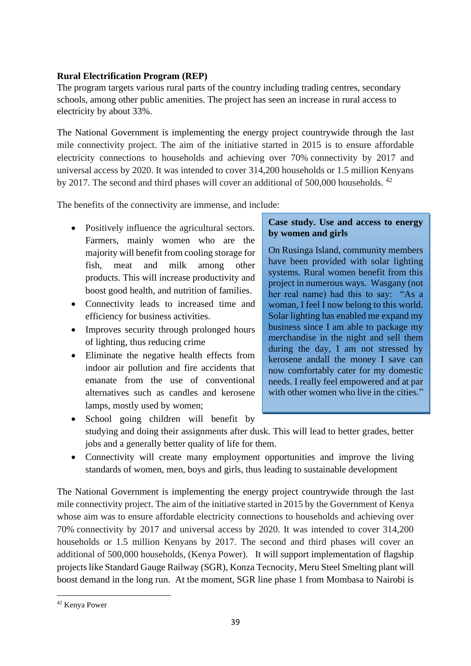## <span id="page-38-0"></span>**Rural Electrification Program (REP)**

The program targets various rural parts of the country including trading centres, secondary schools, among other public amenities. The project has seen an increase in rural access to electricity by about 33%.

The National Government is implementing the energy project countrywide through the last mile connectivity project. The aim of the initiative started in 2015 is to ensure affordable electricity connections to households and achieving over 70% connectivity by 2017 and universal access by 2020. It was intended to cover 314,200 households or 1.5 million Kenyans by 2017. The second and third phases will cover an additional of 500,000 households. <sup>42</sup>

The benefits of the connectivity are immense, and include:

- Positively influence the agricultural sectors. Farmers, mainly women who are the majority will benefit from cooling storage for fish, meat and milk among other products. This will increase productivity and boost good health, and nutrition of families.
- Connectivity leads to increased time and efficiency for business activities.
- Improves security through prolonged hours of lighting, thus reducing crime
- Eliminate the negative health effects from indoor air pollution and fire accidents that emanate from the use of conventional alternatives such as candles and kerosene lamps, mostly used by women;

#### **Case study. Use and access to energy by women and girls**

On Rusinga Island, community members have been provided with solar lighting systems. Rural women benefit from this project in numerous ways. Wasgany (not her real name) had this to say: "As a woman, I feel I now belong to this world. Solar lighting has enabled me expand my business since I am able to package my merchandise in the night and sell them during the day, I am not stressed by kerosene andall the money I save can now comfortably cater for my domestic needs. I really feel empowered and at par with other women who live in the cities."

- School going children will benefit by studying and doing their assignments after dusk. This will lead to better grades, better jobs and a generally better quality of life for them.
- Connectivity will create many employment opportunities and improve the living standards of women, men, boys and girls, thus leading to sustainable development

The National Government is implementing the energy project countrywide through the last mile connectivity project. The aim of the initiative started in 2015 by the Government of Kenya whose aim was to ensure affordable electricity connections to households and achieving over 70% connectivity by 2017 and universal access by 2020. It was intended to cover 314,200 households or 1.5 million Kenyans by 2017. The second and third phases will cover an additional of 500,000 households, (Kenya Power). It will support implementation of flagship projects like Standard Gauge Railway (SGR), Konza Tecnocity, Meru Steel Smelting plant will boost demand in the long run. At the moment, SGR line phase 1 from Mombasa to Nairobi is

<sup>42</sup> Kenya Power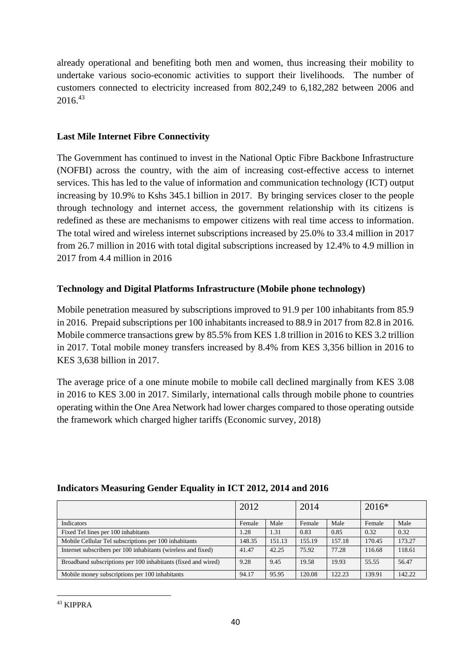already operational and benefiting both men and women, thus increasing their mobility to undertake various socio-economic activities to support their livelihoods. The number of customers connected to electricity increased from 802,249 to 6,182,282 between 2006 and 2016. 43

## <span id="page-39-0"></span>**Last Mile Internet Fibre Connectivity**

The Government has continued to invest in the National Optic Fibre Backbone Infrastructure (NOFBI) across the country, with the aim of increasing cost-effective access to internet services. This has led to the value of information and communication technology (ICT) output increasing by 10.9% to Kshs 345.1 billion in 2017. By bringing services closer to the people through technology and internet access, the government relationship with its citizens is redefined as these are mechanisms to empower citizens with real time access to information. The total wired and wireless internet subscriptions increased by 25.0% to 33.4 million in 2017 from 26.7 million in 2016 with total digital subscriptions increased by 12.4% to 4.9 million in 2017 from 4.4 million in 2016

## <span id="page-39-1"></span>**Technology and Digital Platforms Infrastructure (Mobile phone technology)**

Mobile penetration measured by subscriptions improved to 91.9 per 100 inhabitants from 85.9 in 2016. Prepaid subscriptions per 100 inhabitants increased to 88.9 in 2017 from 82.8 in 2016. Mobile commerce transactions grew by 85.5% from KES 1.8 trillion in 2016 to KES 3.2 trillion in 2017. Total mobile money transfers increased by 8.4% from KES 3,356 billion in 2016 to KES 3,638 billion in 2017.

The average price of a one minute mobile to mobile call declined marginally from KES 3.08 in 2016 to KES 3.00 in 2017. Similarly, international calls through mobile phone to countries operating within the One Area Network had lower charges compared to those operating outside the framework which charged higher tariffs (Economic survey, 2018)

|                                                               |        | 2012   |        | 2014   |        | $2016*$ |  |
|---------------------------------------------------------------|--------|--------|--------|--------|--------|---------|--|
| Indicators                                                    | Female | Male   | Female | Male   | Female | Male    |  |
| Fixed Tel lines per 100 inhabitants                           | 1.28   | 1.31   | 0.83   | 0.85   | 0.32   | 0.32    |  |
| Mobile Cellular Tel subscriptions per 100 inhabitants         | 148.35 | 151.13 | 155.19 | 157.18 | 170.45 | 173.27  |  |
| Internet subscribers per 100 inhabitants (wireless and fixed) | 41.47  | 42.25  | 75.92  | 77.28  | 116.68 | 118.61  |  |
| Broadband subscriptions per 100 inhabitants (fixed and wired) | 9.28   | 9.45   | 19.58  | 19.93  | 55.55  | 56.47   |  |
| Mobile money subscriptions per 100 inhabitants                | 94.17  | 95.95  | 120.08 | 122.23 | 139.91 | 142.22  |  |

#### **Indicators Measuring Gender Equality in ICT 2012, 2014 and 2016**

<sup>43</sup> KIPPRA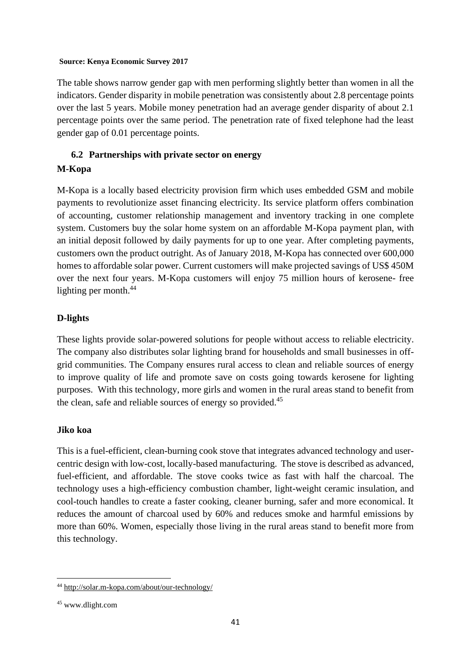#### **Source: Kenya Economic Survey 2017**

The table shows narrow gender gap with men performing slightly better than women in all the indicators. Gender disparity in mobile penetration was consistently about 2.8 percentage points over the last 5 years. Mobile money penetration had an average gender disparity of about 2.1 percentage points over the same period. The penetration rate of fixed telephone had the least gender gap of 0.01 percentage points.

## <span id="page-40-0"></span>**6.2 Partnerships with private sector on energy**

#### <span id="page-40-1"></span>**M-Kopa**

M-Kopa is a locally based electricity provision firm which uses embedded GSM and mobile payments to revolutionize asset financing electricity. Its service platform offers combination of accounting, customer relationship management and inventory tracking in one complete system. Customers buy the solar home system on an affordable M-Kopa payment plan, with an initial deposit followed by daily payments for up to one year. After completing payments, customers own the product outright. As of January 2018, M-Kopa has connected over 600,000 homes to affordable solar power. Current customers will make projected savings of US\$ 450M over the next four years. M-Kopa customers will enjoy 75 million hours of kerosene- free lighting per month. 44

# <span id="page-40-2"></span>**D-lights**

These lights provide solar-powered solutions for people without access to reliable electricity. The company also distributes solar lighting brand for households and small businesses in offgrid communities. The Company ensures rural access to clean and reliable sources of energy to improve quality of life and promote save on costs going towards kerosene for lighting purposes. With this technology, more girls and women in the rural areas stand to benefit from the clean, safe and reliable sources of energy so provided.<sup>45</sup>

#### <span id="page-40-3"></span>**Jiko koa**

This is a fuel-efficient, clean-burning cook stove that integrates advanced technology and usercentric design with low-cost, locally-based manufacturing. The stove is described as advanced, fuel-efficient, and affordable. The stove cooks twice as fast with half the charcoal. The technology uses a high-efficiency combustion chamber, light-weight ceramic insulation, and cool-touch handles to create a faster cooking, cleaner burning, safer and more economical. It reduces the amount of charcoal used by 60% and reduces smoke and harmful emissions by more than 60%. Women, especially those living in the rural areas stand to benefit more from this technology.

<sup>44</sup> <http://solar.m-kopa.com/about/our-technology/>

<sup>45</sup> www.dlight.com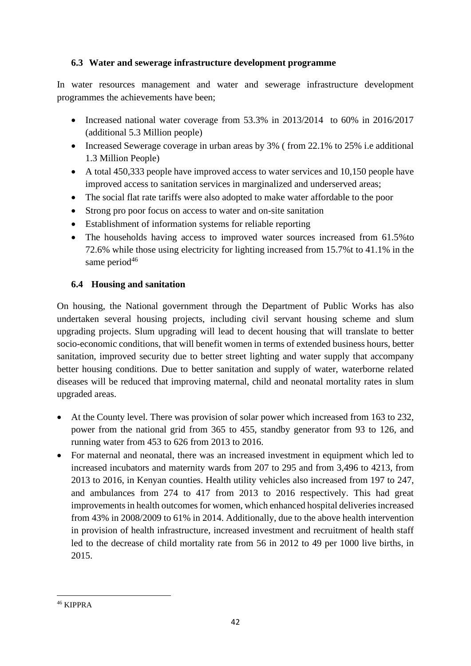## <span id="page-41-0"></span>**6.3 Water and sewerage infrastructure development programme**

In water resources management and water and sewerage infrastructure development programmes the achievements have been;

- Increased national water coverage from 53.3% in 2013/2014 to 60% in 2016/2017 (additional 5.3 Million people)
- Increased Sewerage coverage in urban areas by 3% (from 22.1% to 25% i.e additional 1.3 Million People)
- A total 450,333 people have improved access to water services and 10,150 people have improved access to sanitation services in marginalized and underserved areas;
- The social flat rate tariffs were also adopted to make water affordable to the poor
- Strong pro poor focus on access to water and on-site sanitation
- Establishment of information systems for reliable reporting
- The households having access to improved water sources increased from 61.5% to 72.6% while those using electricity for lighting increased from 15.7%t to 41.1% in the same period $46$

# <span id="page-41-1"></span>**6.4 Housing and sanitation**

On housing, the National government through the Department of Public Works has also undertaken several housing projects, including civil servant housing scheme and slum upgrading projects. Slum upgrading will lead to decent housing that will translate to better socio-economic conditions, that will benefit women in terms of extended business hours, better sanitation, improved security due to better street lighting and water supply that accompany better housing conditions. Due to better sanitation and supply of water, waterborne related diseases will be reduced that improving maternal, child and neonatal mortality rates in slum upgraded areas.

- At the County level. There was provision of solar power which increased from 163 to 232, power from the national grid from 365 to 455, standby generator from 93 to 126, and running water from 453 to 626 from 2013 to 2016.
- For maternal and neonatal, there was an increased investment in equipment which led to increased incubators and maternity wards from 207 to 295 and from 3,496 to 4213, from 2013 to 2016, in Kenyan counties. Health utility vehicles also increased from 197 to 247, and ambulances from 274 to 417 from 2013 to 2016 respectively. This had great improvements in health outcomes for women, which enhanced hospital deliveries increased from 43% in 2008/2009 to 61% in 2014. Additionally, due to the above health intervention in provision of health infrastructure, increased investment and recruitment of health staff led to the decrease of child mortality rate from 56 in 2012 to 49 per 1000 live births, in 2015.

<sup>46</sup> KIPPRA